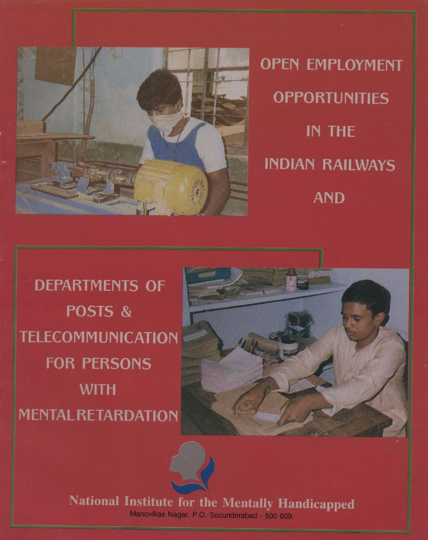

**OPEN EMPLOYMENT OPPORTUNITIES IN THE INDIAN RAILWAYS AND** 

**DEPARTMENTS OF** POSTS & **TELECOMMUNICATION FOR PERSONS WITH MENTAL RETARDATION** 





National Institute for the Mentally Handicapped Manovikas Nagar, P.O. Secunderabad - 500 009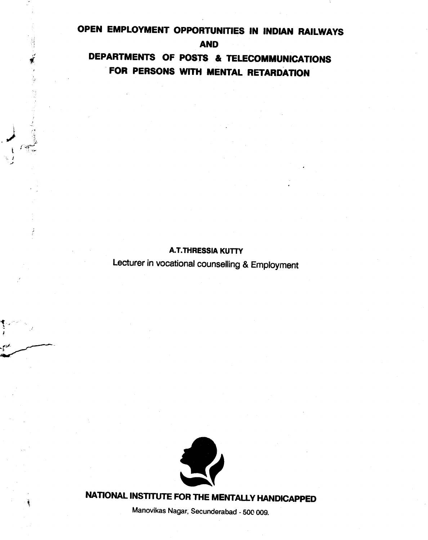# OPEN EMPLOYMENT OPPORTUNITIES IN INDIAN RAILWAYS

AND

DEPARTMENTS OF POSTS & TELECOMMUNICATIONS FOR PERSONS WITH MENTAL RETARDATION

### A.T.THRESSIA KUTY

Lecturer in vocational counselling & Employment



NATIONAL INSTITUTE FOR THE MENTALLY HANDICAPPED

Manovikas Nagar, Secunderabad - 500 009.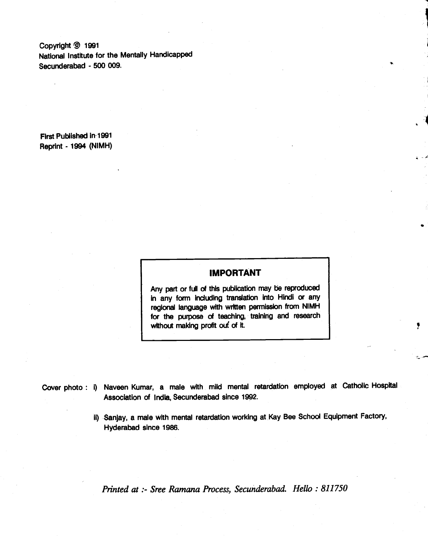Copyright @ 1991 National Institute for the Mentally Handicapped Secunderabad - 500 009.

First Published in 1991 Reprint - 1994 (NIMH)

### IMPORTANT

**।**<br>र

Any part or full of this publication may be reproduced in any form indudlng translation into Hindi or any regional language with written permission from NIMH for the purpose of teaching, training and research without making profit out of it.

|                                                |  |  |  | Cover photo : i) Naveen Kumar, a male with mild mental retardation employed at Catholic Hospital |
|------------------------------------------------|--|--|--|--------------------------------------------------------------------------------------------------|
| Association of India, Secunderabad since 1992. |  |  |  |                                                                                                  |

II) Sanjay, a male with mental retardation working at Kay Bee School Equipment Factory, Hyderabad since 1986.

Printed at :- Sree Ramana Process, Secunderabad. Hello : 811750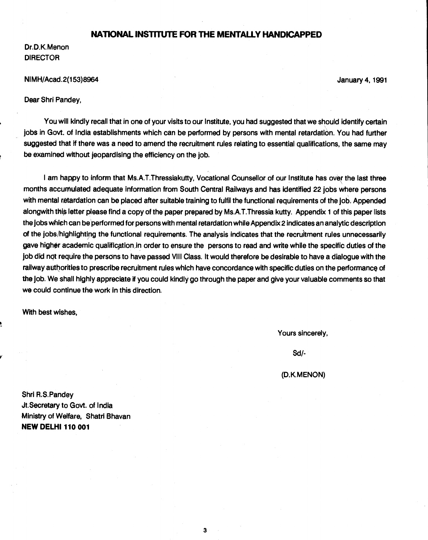### NATIONAL INSTITUTE FOR ThE MENTALLY HANDICAPPED

Dr.D.K. Menon DIRECTOR

#### NIMH/Acad.2(153)8964 January 4, 1991

Dear Shri Pandey,

You will kindly recall that in one of your visits to our Institute, you had suggested that we should identify certain jobs in Govt. of India establishments which can be performed by persons with mental retardation. You had further suggested that if there was a need to amend the recruitment rules relating to essential qualifications, the same may be examined without jeopardising the efficiency on the job.

I am happy to inform that Ms.A.T.Thressiakutty, Vocational Counsellor of our Institute has over the last three months accumulated adequate information from South Central Railways and has identified 22 jobs where persons with mental retardation can be placed after suitable training to fulfil the functional requirements of the job. Appended alongwith this letter please find a copy of the paper prepared by Ms.A.T.Thressia kutty. Appendix 1 of this paper lists the jobs wliich can be performed for persons with mental retardation while Appendix 2 indicates an analytic description of the jobs/highlighting the functional requirements. The analysis indicates that the recruitment rules unnecessarily gave higher academic qualification in order to ensure the persons to read and write while the specific duties of the job did not require the persons to have passed VIII Class. It would therefore be desirable to have a dialogue with the railway authorities to prescribe recruitment rules which have concordance with specific duties on the performance of the job. We shall highly appreciate if you could kindly go through the paper and give your valuable comments so that we could continue the work in this direction.

3

With best wishes,

Yours sincerely,

Sd!-

(D.K.MENON)

Shri R.S.Pandey Jt.Secretary to Govt. of India Ministry of Welfare, Shatri Bhavan **NEW DELHI 110 001**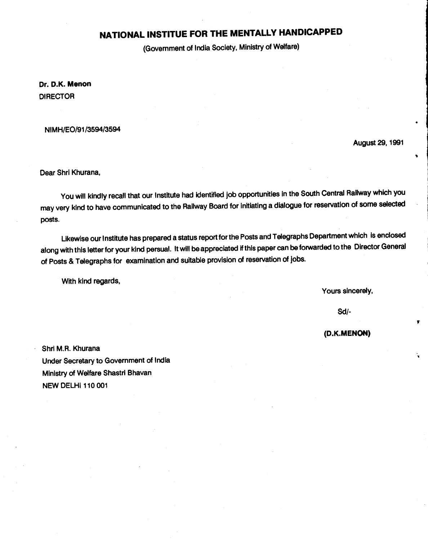# NATIONAL INSTITUE FOR THE MENTALLY HANDICAPPED

(Government of India Society, Ministry of Welfare)

Dr. D.K. Menon DIRECTOR

NIMH/EO/91 /3594/3594

August29, 1991

Dear Shri Khurana,

You will kindly recall that our Institute had identified job opportunities in the South Central Railway which you may very kind to have communicated to the Railway Board for initiating a dialoguefor reservation of some selected posts.

Likewise our Institute has prepared a status report for the Posts and Telegraphs Department which is enclosed along with this letter for your kind persual. It will be appreciated if this paper can beforwarded to the Director General of Posts & Telegraphs for examination and suitable provision of reservation of Jobs.

With kind regards,

Yours sincerely,

Sd/-

(D.K.MENON)

r

Shri M.R. Khurana Under Secretary to Government of India Ministry of Welfare Shastri Bhavan **NEW DELHI 110 001**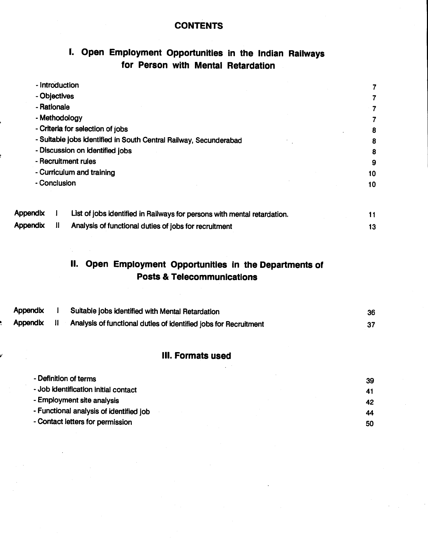### **CONTENTS**

# I. Open Employment Opportunities in the Indian Railways for Person with Mental Retardation

|                 | - Introduction |                                                                          |    |
|-----------------|----------------|--------------------------------------------------------------------------|----|
|                 | - Objectives   |                                                                          |    |
|                 | - Rationale    |                                                                          |    |
|                 |                | - Methodology                                                            |    |
|                 |                | - Criteria for selection of jobs                                         | 8  |
|                 |                | - Suitable jobs identified in South Central Railway, Secunderabad        | 8  |
|                 |                | - Discussion on identified jobs                                          | 8  |
|                 |                | - Recruitment rules                                                      | 9  |
|                 |                | - Curriculum and training                                                | 10 |
| - Conclusion    |                |                                                                          | 10 |
| <b>Appendix</b> |                | List of jobs identified in Railways for persons with mental retardation. | 11 |
| <b>Appendix</b> |                | Analysis of functional duties of jobs for recruitment                    | 13 |

# II. Open Employment Opportunities in the Departments of Posts & Telecommunications

| Appendix | Suitable jobs identified with Mental Retardation                 | 36 |
|----------|------------------------------------------------------------------|----|
| Appendix | Analysis of functional duties of identified jobs for Recruitment |    |

### Ill. Formats used

| - Definition of terms                   | 39 |  |
|-----------------------------------------|----|--|
| - Job identification initial contact    | 41 |  |
| - Employment site analysis              | 42 |  |
| - Functional analysis of identified job | 44 |  |
| - Contact letters for permission        | 50 |  |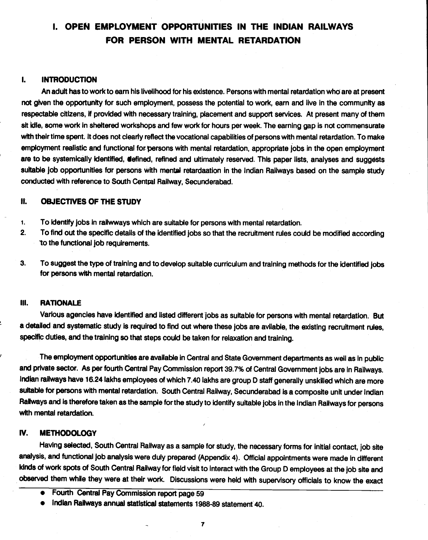# <span id="page-6-0"></span>I. OPEN EMPLOYMENT OPPORTUNITIES IN THE INDIAN RAILWAYS FOR PERSON WITH MENTAL RETARDATION

### I, INTRODUCTION

An adult has to work to earn his livelihood for his existence. Persons with mental retardation who are at present not given the opportunity for such employment, possess the potential to work, earn and live in the community as respectable citizens, if provided with necessary training, placement and support services. At present many of them sit idle, some work in sheltered workshops and few work for hours per week. The earning gap is not commensurate with their time spent. It does not clearly reflect the vocational capabilities of persons with mental retardation. To make employment realistic and functional for persons with mental retardation, appropriate jobs in the open employment are to be systemically identified, defined, refined and ultimately reserved. This paper lists, analyses and suggests suitable job opportunities for persons with mental retardaation in the Indian Railways based on the sample study conducted with reference to South Central Railway, Secunderabad.

### II. OBJECTIVES OF THE STUDY

- 1. To identify jobs in railwways which are suitable for persons with mental retardation.
- 2. To find out the specific details of the identified jobs so that the recruitment rules could be modified according to the functional job requirements.
- 3. To suggest the type of training and to develop suitable curriculum and training methods for the identified jobs for persons with mental retardation.

### Ill. RATIONALE

Various agencies have identified and listed different jobs as suitable for persons with mental retardation. But a detailed and systematic study is required to find out where these jobs are avilable, the existing recruitment rules, specific duties, and the training so that steps could be taken for relaxation and training.

The employment opportunities are available in Central and State Government departments as well as in public and private sector. As per fourth Central Pay Commission report 39.7% of Central Government jobs are in Railways. Indian railways have 16.24 lakhs employees of which 7.40 lakhs are group D staff generally unskilled which are more suitable for persons with mental retardation. South Central Railway, Secunderabad is a composite unit under Indian Railways and is therefore taken as the sample for the study to identify suitable jobs in the Indian Railways for persons with mental retardation.

### IV. METHODOLOGY

Having selected, South Central Railway as a sample for study, the necessary forms for initial contact, job site analysis, and functional job analysis were duly prepared (Appendix 4). Official appointments were made in different kinds of work spots of South Central Railway for field visit to interact with the Group D employees et the job site and observed them while they were at their work. Discussions were held with supervisory officials to know the exact

- Fourth Central Pay Commission report page 59
- Indian Railways annual statistical statements 1988-89 statement 40.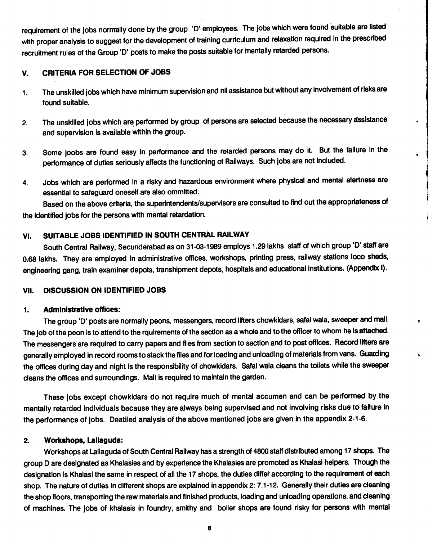<span id="page-7-0"></span>requirement of the jobs normally done by the group 'D' employees. The jobs which were found suitable are listed with proper analysis to suggest for the development of training curriculum and relaxation required In the prescribed recruitment rules of the Group 'D' posts to make the posts suitable for mentally retarded persons.

### V. CRITERIA FOR SELECTION OF JOBS

- 1. The unskilled jobs which have minimum supervision and nil assistance but without any involvement of risks are found suitable.
- 2. The unskilled jobs which are performed by group of persons are selected because the necessary assistance and supervision is available within the group.
- 3. Some joobs are found easy in performance and the retarded persons may do it. But the faIlure In the performance of duties seriously affects the functioning of Railways. Such jobs are not included.
- 4. Jobs which are performed in a risky and hazardous environment where physical and mental alertness are essential to safeguard oneself are also ommitted.

Based on the above criteria, the superintendents/supervisors are consulted to find out the appropriateness of the identified jobs for the persons with mental retardation.

### VI. SUITABLE JOBS IDENTIFIED IN SOUTH CENTRAL RAILWAY

South Central Railway, Secunderabad as on 31-03-1989 employs 1.29 lakhs staff of which group '0' staff are 0.68 lakhs. They are employed In administrative offices, workshops, printing press, railway stations loco sheds, engineering gang, train examiner depots, transhipment depots, hospitals and educational institutions. (Appendix I).

### VII. DISCUSSION ON IDENTIFIED JOBS

### 1. Administrative offices:

The group '0' posts are normally peons, messengers, record lifters chowkldars, safal wala, sweeper and mall. The job of the peon is to attend to the rquirements of the section as a whole and to the officer to whom he is attached. The messengers are required to carry papers and files from section to section and to post offices. Record lifters are generally employed in record rooms to stack the files and for loading and unloading of materials from vans. Guarding the offices during day and night is the responsibility of chowkidars. Safal wala cleans the toilets while the sweeper cleans the offices and surroundings. Mali Is required to maintain the garden.

 $\bullet$ 

These jobs except chowkidars do not require much of mental accumen and can be performed by the mentally retarded individuals because they are always being supervised and not involving risks due to failure in the performance of jobs. Deatiled analysis of the above mentioned jobs are given in the appendix 2-1 -6.

### 2. Workshops, Lallaguda:

Workshops at Lallaguda of South Central Railway has a strength of 4800 staff distributed among 17 shops. The group D are designated as Khalasies and by experience the Khalasies are promoted as Khalasi helpers. Though the designation is Khalasi the same in respect of all the 17 shops, the duties differ according to the requirement of each shop. The nature of duties in different shops are explained in appendix 2: 7.1-12. Generally their duties are cleaning the shop floors, transporting the raw materials and finished products, loading and unloading operations, and cleaning of machines. The jobs of khalasis in foundry, smithy and boiler shops are found risky for persons with mental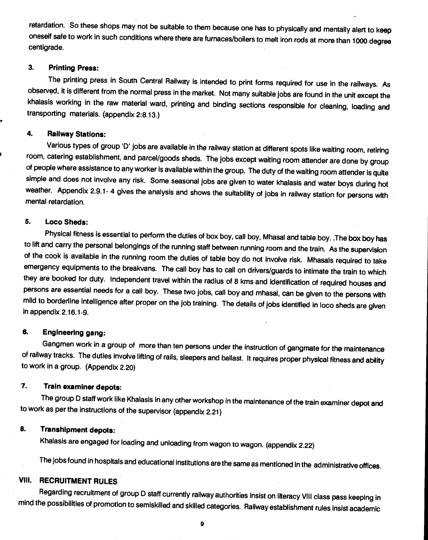<span id="page-8-0"></span>retardation. So these shops may not be suitable to them because one has to physically and mentally alert to keep oneself safe to work in such conditions where there are furnaces/boilers to melt iron rods at more than 1000 degree centigrade.

### 3. Printing Press:

The printing press in South Central Railway is intended to print forms required for use in the railways. As observed, it is different from the normal press in the market. Notmany suitable Jobs are found in the unit except the khalasis working in the raw material ward, printing and binding sections responsible for cleaning, loading and transporting materials. (appendix 2:8.13.)

### 4. Railway Stations:

Various types of group 'D' jobs are available in the railway station at different spots like waiting room, retiring room, catering establishment, and parcel/goods sheds. The jobs except waiting room attender are done by group of people where assistance to any worker is available within the group. The duty of the waiting room attender is quite simple and does not involve any risk. Some seasonal jobs are given to water khaiasis and water boys during hot weather. Appendix 2.9.1-4 gives the analysis and shows the suitability of jobs in railway station for persons with mental retardation.

### 5. Loco Sheds:

Physical fitness is essential to perform the duties of box boy, call boy, Mhasal and table boy. .The box boy has to lift and carry the personal belongings of the running staff between running room and the train. As the supervision of the cook is available in the running room the duties of table boy do not involve risk. Mhasals required to take emergency equipments to the breakvans. The call boy has to call on drivers/guards to intimate the train to which they are booked for duty. Independent travel within the radius of 8 kms and Identification of required houses and persons are essential needs for a call boy. These two jobs, call boy and mhasal, can be given to the persons with mild to borderline intelligence after proper on the job training. The details of jobs identified in loco sheds are given in appendix 2.16.1-9.

### 6. Engineering gang:

Gangmen work in a group of more than ten persons under the instruction of gangmate for the maintenance of railway tracks. The duties involve lifting of rails, sleepers and ballast. It requires proper physical fitness and ability to work in a group. (Appendix 2.20)

### 7. Train examiner depots:

The group D staff work like Khalasis in any other workshop in the maintenance of the train examiner depot and to work as per the instructions of the supervisor (appendix 2.21)

### 8. Transhipment depots:

Khalasis are engaged for loading and unloading fromwagon to wagon. (appendix 2.22)

The jobs found in hospitals and educational institutions are the same as mentioned in the administrative offices.

### VIII. RECRUITMENT RULES

Regarding recruitment of group D staff currently railway authorities insist on literacy VIII class pass keeping in mind the possibilities of promotion to semiskilled and skilled categories. Railway establishment rules insist academic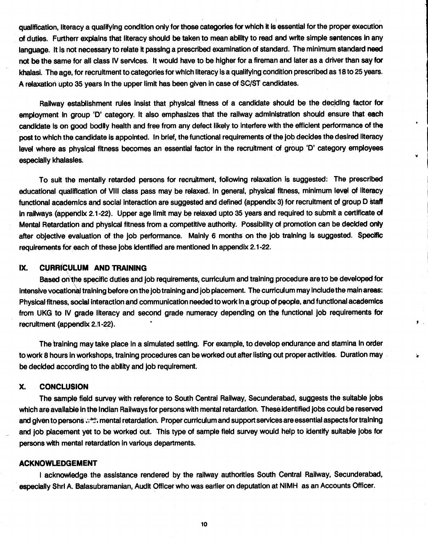<span id="page-9-0"></span>qualification, literacy a qualifying condition only for those categories for which It is essential for the proper execution of duties. Furtherr explains that literacy should be taken to mean ability to read and write simple sentences in any language. It is not necessary to relate it passing a prescribed examination of standard. The minimum standard need not be the same for all class IV services. It would have to be higher for a fireman and later as a driver than say for khalasi. The age, for recruitment to categories for which literacy isa qualifying condition prescribed as 18 to 25 years. A relaxation upto 35 years In the upper limit has been given in case of SC/ST candidates.

Railway establishment rules insist that physical fitness of a candidate should be the deciding factor for employment in group 'D' category. It also emphasizes that the railway administration should ensure that each candidate is on good bodily health and free from any defect likely to interfere with the efficient performance of the post to which the candidate is appointed. In brief, the functional requirements of the job decides the desired literacy level where as physical fitness becomes an essential factor in the recruitment of group 'D' category employees especially khalasles.

To suit the mentally retarded persons for recruitment, following relaxation is suggested: The prescribed educational qualification of VIII class pass may be relaxed. In general, physical fitness, minimum level of literacy functional academics and social interaction are suggested and defined (appendix 3) for recruitment of group D staff in railways (appendix 2.1-22). Upper age limit may be relaxed upto 35 years and required to submit a certificate of Mental Retardation and physical fitness from a competitive authority. Possibility of promotion can be decided only after objective evaluation of the job performance. Mainly 6 months on the job training is suggested. Specific requirements for each, of these jobs identified are mentioned in appendix 2.1-22.

### IX. CURRICULUM AND TRAINING

Based on the specific duties and job requirements, curriculum and training procedure are to be developed for Intensive vocationa! training before on the job training and job placement. The curriculum may include the main areas: Physical fitness, social interaction and communication needed to work in a group of people, and functional academics from UKG to IV grade literacy and second grade numeracy depending on the functional job requirements for recruitment (appendix 2.1-22).

 $\mathbf{F}$ .

The training may take place in a simulated setting. For example, to develop endurance and stamina in order to work 8 hours in workshops, training procedures can be worked out after listing out proper activities. Duration may be decided according to the ability and job requirement.

### X. CONCLUSION

The sample field survey with reference to South Central Railway, Secunderabad, suggests the suitable jobs which are available in the Indian Railways for persons with mental retardation. Theseidentified jobs could be reserved and given to persons ... ":: mental retardation. Proper curriculum and support services are essential aspects for training and job placement yet to be worked out. This type of sample field survey would help to identify suitable jobs for persons with mental retardation in various departments.

### ACKNOWLEDGEMENT

I acknowledge the assistance rendered by the railway authorities South Central Railway, Secunderabad, especially ShrI A. Balasubramanian, Audit Officer who was earlier on deputation at NIMH as an Accounts Officer.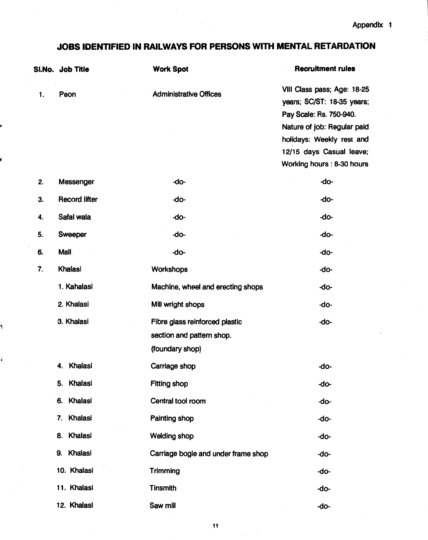# <span id="page-10-0"></span>JOBS IDENTIFIED IN RAILWAYS FOR PERSONS WITH MENTAL RETARDATION

|    | SI.No. Job Title     | <b>Work Spot</b>                    | <b>Recruitment rules</b>                                  |
|----|----------------------|-------------------------------------|-----------------------------------------------------------|
| 1. | Peon                 | <b>Administrative Offices</b>       | VIII Class pass; Age: 18-25<br>years; SC/ST: 18-35 years; |
|    |                      |                                     | Pay Scale: Rs. 750-940.                                   |
|    |                      |                                     | Nature of job: Regular paid                               |
|    |                      |                                     | holidays: Weekly rest and                                 |
|    |                      |                                     | 12/15 days Casual leave;                                  |
|    |                      |                                     | Working hours: 8-30 hours                                 |
| 2. | Messenger            | -do-                                | -do-                                                      |
| 3. | <b>Record lifter</b> | -do-                                | -do-                                                      |
| 4. | Safal wala           | -do-                                | -do-                                                      |
| 5. | Sweeper              | -do-                                | -do-                                                      |
| 6. | Mall.                | -do-                                | -do-                                                      |
| 7. | Khalasi              | Workshops                           | -do-                                                      |
|    | 1. Kahalasi          | Machine, wheel and erecting shops   | -do-                                                      |
|    | 2. Khalasi           | Mill wright shops                   | -do-                                                      |
|    | 3. Khalasi           | Fibre glass reinforced plastic      | -do-                                                      |
|    |                      | section and pattern shop.           |                                                           |
|    |                      | (foundary shop)                     |                                                           |
|    | Khalasi<br>4.        | Carriage shop                       | -do-                                                      |
|    | Khalasi<br>5.        | <b>Fitting shop</b>                 | -do-                                                      |
|    | Khalasi<br>6.        | Central tool room                   | -do-                                                      |
|    | Khalasi<br>7.        | <b>Painting shop</b>                | -do-                                                      |
|    | Khalasi<br>8.        | <b>Welding shop</b>                 | -do-                                                      |
|    | Khalasi<br>9.        | Carriage bogie and under frame shop | -do-                                                      |
|    | 10. Khalasi          | Trimming                            | -do-                                                      |
|    | 11. Khalasi          | <b>Tinsmith</b>                     | -do-                                                      |
|    | 12. Khalasl          | Saw mill                            | -do-                                                      |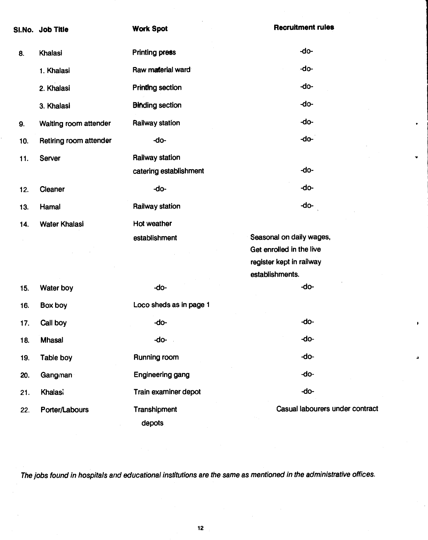|     | SI.No. Job Title       | <b>Work Spot</b>        | <b>Recruitment rules</b>        |
|-----|------------------------|-------------------------|---------------------------------|
| 8.  | Khalasi                | <b>Printing press</b>   | -do-                            |
|     | 1. Khalasi             | Raw material ward       | -do-                            |
|     | 2. Khalasi             | <b>Printing section</b> | -do-                            |
|     | 3. Khalasi             | <b>Binding section</b>  | -do-                            |
| 9.  | Waiting room attender  | Railway station         | -do-                            |
| 10. | Retiring room attender | -do-                    | -do-                            |
| 11. | Server                 | Railway station         |                                 |
|     |                        | catering establishment  | -do-                            |
| 12. | Cleaner                | -do-                    | -do-                            |
| 13. | Hamal                  | Railway station         | -do-                            |
| 14. | <b>Water Khalasi</b>   | Hot weather             |                                 |
|     |                        | establishment           | Seasonal on daily wages,        |
|     |                        |                         | Get enrolled in the live        |
|     |                        |                         | register kept in railway        |
|     |                        |                         | establishments.                 |
| 15. | Water boy              | -do-                    | -do-                            |
| 16. | Box boy                | Loco sheds as in page 1 |                                 |
| 17. | Call boy               | -do-                    | -do-                            |
| 18. | <b>Mhasal</b>          | -do-                    | -do-                            |
| 19. | Table boy              | Running room            | -do-                            |
| 20. | Gangman                | <b>Engineering gang</b> | -do-                            |
| 21. | <b>Khalasi</b>         | Train examiner depot    | -do-                            |
| 22. | Porter/Labours         | Transhipment            | Casual labourers under contract |
|     |                        | depots                  |                                 |

 $\pmb{\mathfrak{p}}$ 

ä

The jobs found in hospitals and educational institutions are the same as mentioned in the administrative offices.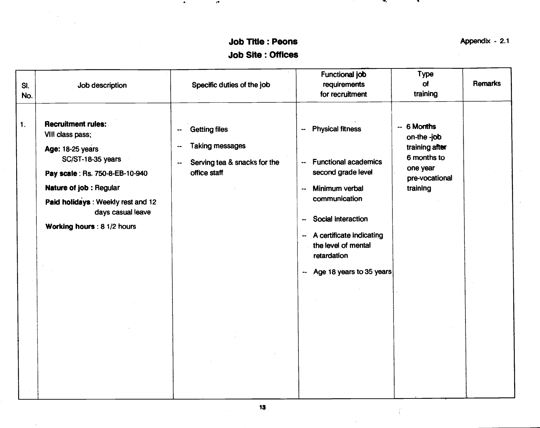# Job Title: Peons Appendix - 2.1 Job Site: Offices

 $\bullet$ 

 $\epsilon^\bullet$ 

 $\mathbf{w}_i$ 

<span id="page-12-0"></span>

| Job description<br>SI.<br>No.                                                                                                                                                                                                                                  | Specific duties of the job                                                                                      | Functional job<br>requirements<br>for recruitment                                                                                                                                                                                                                                                                       | <b>Type</b><br>of<br>training                                                                         | Remarks |
|----------------------------------------------------------------------------------------------------------------------------------------------------------------------------------------------------------------------------------------------------------------|-----------------------------------------------------------------------------------------------------------------|-------------------------------------------------------------------------------------------------------------------------------------------------------------------------------------------------------------------------------------------------------------------------------------------------------------------------|-------------------------------------------------------------------------------------------------------|---------|
| Recruitment rules:<br>$\mathbf{1}$ .<br>VIII class pass;<br><b>Age: 18-25 years</b><br>SC/ST-18-35 years<br>Pay scale: Rs. 750-8-EB-10-940<br>Nature of job : Regular<br>Paid holidays: Weekly rest and 12<br>days casual leave<br>Working hours : 8 1/2 hours | <b>Getting files</b><br>⊷<br><b>Taking messages</b><br>--<br>Serving tea & snacks for the<br>--<br>office staff | <b>Physical fitness</b><br>--<br><b>Functional academics</b><br>$\overline{\phantom{a}}$<br>second grade level<br>Minimum verbal<br>$\ddotsc$<br>communication<br>Social interaction<br>--<br>-- A certificate indicating<br>the level of mental<br>retardation<br>Age 18 years to 35 years<br>$\overline{\phantom{a}}$ | -- 6 Months<br>on-the -job<br>training after<br>6 months to<br>one year<br>pre-vocational<br>training |         |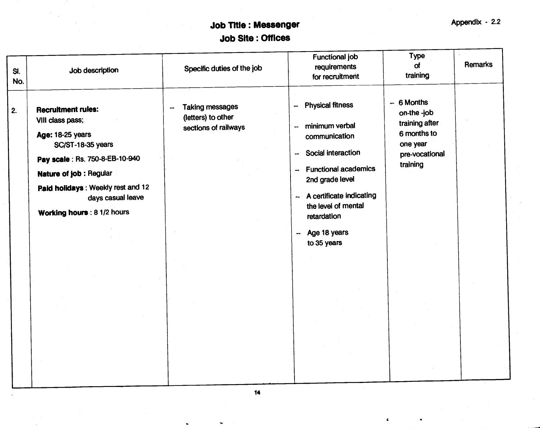# Job Title: Messenger Appendix - 2.2 Job Site: Offices

| SI.<br>No. | Job description                                                                                                                                                                                                                                    | Specific duties of the job                                           | Functional job<br>requirements<br>for recruitment                                                                                                                                                                                                                      | <b>Type</b><br>of<br>training                                                                         | Remarks |
|------------|----------------------------------------------------------------------------------------------------------------------------------------------------------------------------------------------------------------------------------------------------|----------------------------------------------------------------------|------------------------------------------------------------------------------------------------------------------------------------------------------------------------------------------------------------------------------------------------------------------------|-------------------------------------------------------------------------------------------------------|---------|
| 2.         | <b>Recruitment rules:</b><br>VIII class pass;<br><b>Age: 18-25 years</b><br>SC/ST-18-35 years<br>Pay scale: Rs. 750-8-EB-10-940<br>Nature of job: Regular<br>Paid holidays: Weekly rest and 12<br>days casual leave<br>Working hours : 8 1/2 hours | <b>Taking messages</b><br>(letters) to other<br>sections of railways | <b>Physical fitness</b><br>$\overline{\phantom{a}}$<br>minimum verbal<br>communication<br>-- Social interaction<br>-- Functional academics<br>2nd grade level<br>-- A certificate indicating<br>the level of mental<br>retardation<br>Age 18 years<br>⊶<br>to 35 years | $-6$ Months<br>on-the -job<br>training after<br>6 months to<br>one year<br>pre-vocational<br>training |         |
|            |                                                                                                                                                                                                                                                    |                                                                      |                                                                                                                                                                                                                                                                        |                                                                                                       |         |

 $\pmb{\epsilon}$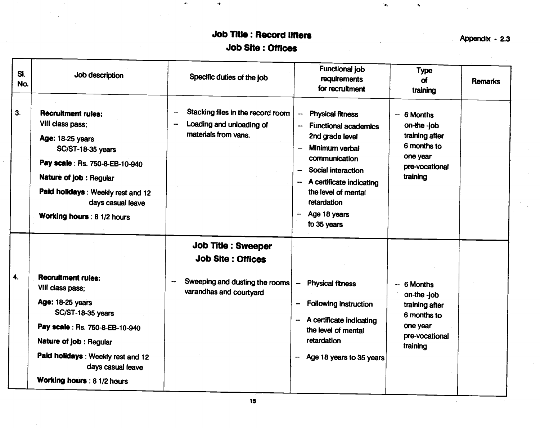# Job Title: Record lifters Appendix - 2.3 Job Site: Offices

 $\bullet$ 

 $\frac{1}{2}$ 

ie.

 $\mathbf{c}$ 

| SI.<br>No. | Job description                                                                                                                                                                                                                                      | Specific duties of the job                                                                                                                    | <b>Functional job</b><br>requirements<br>for recruitment                                                                                                                                                                                                                                         | <b>Type</b><br><b>of</b><br>training                                                                  | <b>Remarks</b> |
|------------|------------------------------------------------------------------------------------------------------------------------------------------------------------------------------------------------------------------------------------------------------|-----------------------------------------------------------------------------------------------------------------------------------------------|--------------------------------------------------------------------------------------------------------------------------------------------------------------------------------------------------------------------------------------------------------------------------------------------------|-------------------------------------------------------------------------------------------------------|----------------|
| 3.         | <b>Recruitment rules:</b><br>VIII class pass;<br>Age: 18-25 years<br>SC/ST-18-35 years<br>Pay scale : Rs. 750-8-EB-10-940<br>Nature of job : Regular<br>Paid holidays: Weekly rest and 12<br>days casual leave<br>Working hours : 8 1/2 hours        | Stacking files in the record room<br>$\overline{\phantom{a}}$<br>Loading and unloading of<br>$\overline{\phantom{a}}$<br>materials from vans. | <b>Physical fitness</b><br>$\overline{\phantom{0}}$<br><b>Functional academics</b><br>2nd grade level<br>Minimum verbal<br>$\overline{\phantom{a}}$<br>communication<br>Social interaction<br>-<br>A certificate indicating<br>the level of mental<br>retardation<br>Age 18 years<br>to 35 years | 6 Months<br>on-the-job<br>training after<br>6 months to<br>one year<br>pre-vocational<br>training     |                |
|            |                                                                                                                                                                                                                                                      | <b>Job Title : Sweeper</b><br><b>Job Site: Offices</b>                                                                                        |                                                                                                                                                                                                                                                                                                  |                                                                                                       |                |
| 4.         | <b>Recruitment rules:</b><br>VIII class pass;<br><b>Age: 18-25 years</b><br>SC/ST-18-35 years<br>Pay scale : Rs. 750-8-EB-10-940<br>Nature of job : Regular<br>Paid holidays: Weekly rest and 12<br>days casual leave<br>Working hours : 8 1/2 hours | Sweeping and dusting the rooms<br>varandhas and courtyard                                                                                     | <b>Physical fitness</b><br>$\overline{\phantom{a}}$<br><b>Following instruction</b><br>A certificate indicating<br>the level of mental<br>retardation<br>Age 18 years to 35 years                                                                                                                | 6 Months<br>$on$ -the -job<br>training after<br>6 months to<br>one year<br>pre-vocational<br>training |                |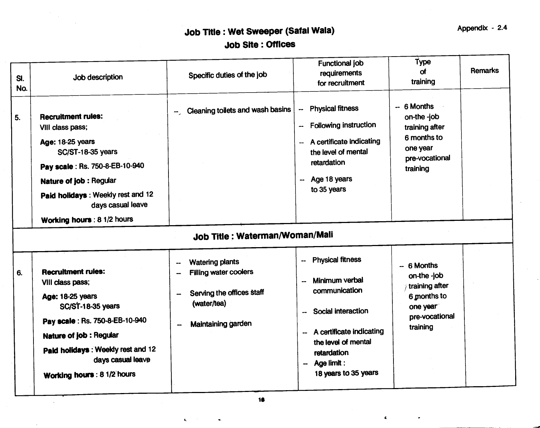# Job Title : Wet Sweeper (Safai Wala) Appendix - 2.4 Job Site : Offices

| SI.<br>No. | Job description                                                                                                                                                                                                                                     | Specific duties of the job                                                                                               | Functional job<br>requirements<br>for recruitment                                                                                                                                                                                       | Type<br>of<br>training                                                                                | <b>Remarks</b> |
|------------|-----------------------------------------------------------------------------------------------------------------------------------------------------------------------------------------------------------------------------------------------------|--------------------------------------------------------------------------------------------------------------------------|-----------------------------------------------------------------------------------------------------------------------------------------------------------------------------------------------------------------------------------------|-------------------------------------------------------------------------------------------------------|----------------|
| 5.         | <b>Recruitment rules:</b><br>VIII class pass;<br>Age: 18-25 years<br><b>SC/ST-18-35 years</b><br>Pay scale: Rs. 750-8-EB-10-940<br>Nature of job : Regular<br>Paid holidays: Weekly rest and 12<br>days casual leave<br>Working hours : 8 1/2 hours | -- Cleaning toilets and wash basins                                                                                      | <b>Physical fitness</b><br>--<br><b>Following instruction</b><br>$\overline{\phantom{a}}$<br>A certificate indicating<br>$-$<br>the level of mental<br>retardation<br>-- Age 18 years<br>to 35 years                                    | $-6$ Months<br>on-the -job<br>training after<br>6 months to<br>one year<br>pre-vocational<br>training |                |
|            |                                                                                                                                                                                                                                                     | Job Title : Waterman/Woman/Mali                                                                                          |                                                                                                                                                                                                                                         |                                                                                                       |                |
| 6.         | <b>Recruitment rules:</b><br>VIII class pass;<br>Age: 18-25 years<br><b>SC/ST-18-35 years</b><br>Pay scale: Rs. 750-8-EB-10-940<br>Nature of job: Regular<br>Paid holidays: Weekly rest and 12<br>days casual leave<br>Working hours : 8 1/2 hours  | <b>Watering plants</b><br><b>Filling water coolers</b><br>Serving the offices staff<br>(water/tea)<br>Maintaining garden | <b>Physical fitness</b><br>--<br>Minimum verbal<br>--<br>communication<br>Social interaction<br>A certificate indicating<br>$\overline{\phantom{a}}$<br>the level of mental<br>retardation<br>Age limit :<br>₩.<br>18 years to 35 years | $-6$ Months<br>on-the -job<br>training after<br>6 months to<br>one year<br>pre-vocational<br>training |                |

 $\hat{\mathbf{r}}$ 

 $\pmb{\epsilon}$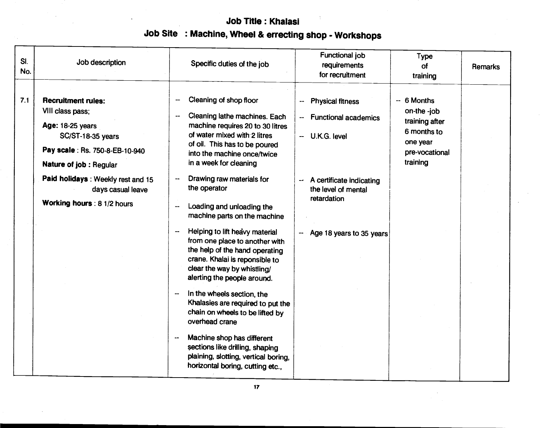# Job Title: Khalasi Job Site : Machine, Wheel & errecting shop - Workshops

| Cleaning of shop floor<br>7.1<br><b>Recruitment rules:</b><br>$-6$ Months<br>--<br>--                                                                                                                                                                                                                                                                                                                                                                                                                                                                                                                                                                                                                                                                                                                                                                                                                                                                                                                                                                                                                                                                                                                                                                                                                       | SI.<br>No. | Job description | Specific duties of the job | <b>Functional job</b><br>requirements<br>for recruitment | <b>Type</b><br><b>of</b><br>training | <b>Remarks</b> |
|-------------------------------------------------------------------------------------------------------------------------------------------------------------------------------------------------------------------------------------------------------------------------------------------------------------------------------------------------------------------------------------------------------------------------------------------------------------------------------------------------------------------------------------------------------------------------------------------------------------------------------------------------------------------------------------------------------------------------------------------------------------------------------------------------------------------------------------------------------------------------------------------------------------------------------------------------------------------------------------------------------------------------------------------------------------------------------------------------------------------------------------------------------------------------------------------------------------------------------------------------------------------------------------------------------------|------------|-----------------|----------------------------|----------------------------------------------------------|--------------------------------------|----------------|
| VIII class pass;<br>on-the -job<br>Cleaning lathe machines. Each<br>$\overline{\phantom{a}}$<br><b>Functional academics</b><br>--<br>training after<br>machine requires 20 to 30 litres<br>Age: 18-25 years<br>6 months to<br>of water mixed with 2 litres<br>SC/ST-18-35 years<br>-- U.K.G. level<br>one year<br>of oil. This has to be poured<br>Pay scale: Rs. 750-8-EB-10-940<br>pre-vocational<br>into the machine once/twice<br>training<br>in a week for cleaning<br>Nature of job : Regular<br>Paid holidays: Weekly rest and 15<br>Drawing raw materials for<br>A certificate indicating<br>the operator<br>the level of mental<br>days casual leave<br>retardation<br>Working hours : 8 1/2 hours<br>Loading and unloading the<br>machine parts on the machine<br>Helping to lift heavy material<br>Age 18 years to 35 years<br>$\overline{\phantom{a}}$<br>from one place to another with<br>the help of the hand operating<br>crane. Khalai is reponsible to<br>clear the way by whistling/<br>alerting the people around.<br>In the wheels section, the<br>Khalasies are required to put the<br>chain on wheels to be lifted by<br>overhead crane<br>Machine shop has different<br>sections like drilling, shaping<br>plaining, slotting, vertical boring,<br>horizontal boring, cutting etc., |            |                 |                            | <b>Physical fitness</b>                                  |                                      |                |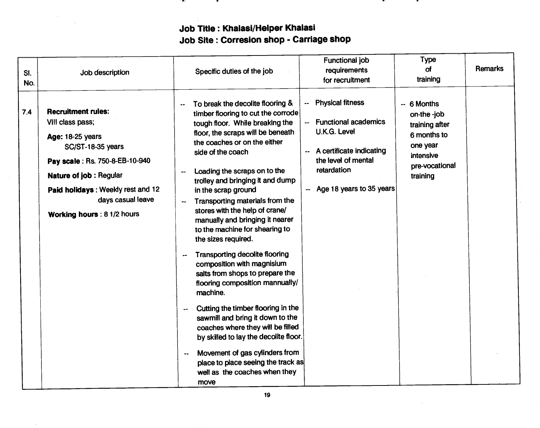# Job Title: Khalasi/Helper Khalasi Job Site : Correslon shop - Carriage shop

i wa m

| SI.<br>No.              | Job description                                                                                                                                                                                                                | Specific duties of the job                                                                                                                                                                                                                                                                                                                                                                                                                                                                                                                                                                                                                                                                                                                                                                                                                                                                                                    | Functional job<br>requirements<br>for recruitment                                                                                                                  | <b>Type</b><br>of<br>training                                                                                      | Remarks |
|-------------------------|--------------------------------------------------------------------------------------------------------------------------------------------------------------------------------------------------------------------------------|-------------------------------------------------------------------------------------------------------------------------------------------------------------------------------------------------------------------------------------------------------------------------------------------------------------------------------------------------------------------------------------------------------------------------------------------------------------------------------------------------------------------------------------------------------------------------------------------------------------------------------------------------------------------------------------------------------------------------------------------------------------------------------------------------------------------------------------------------------------------------------------------------------------------------------|--------------------------------------------------------------------------------------------------------------------------------------------------------------------|--------------------------------------------------------------------------------------------------------------------|---------|
| 7.4<br>VIII class pass; | <b>Recruitment rules:</b><br><b>Age: 18-25 years</b><br>SC/ST-18-35 years<br>Pay scale: Rs. 750-8-EB-10-940<br>Nature of job: Regular<br>Paid holidays: Weekly rest and 12<br>days casual leave<br>Working hours : 8 1/2 hours | To break the decolite flooring &<br>timber flooring to cut the corrode<br>tough floor. While breaking the<br>floor, the scraps will be beneath<br>the coaches or on the either<br>side of the coach<br>Loading the scraps on to the<br>trolley and bringing it and dump<br>in the scrap ground<br>Transporting materials from the<br>stores with the help of crane/<br>manually and bringing it nearer<br>to the machine for shearing to<br>the sizes required.<br><b>Transporting decolite flooring</b><br>composition with magnisium<br>salts from shops to prepare the<br>flooring composition mannually/<br>machine.<br>Cutting the timber flooring in the<br>sawmill and bring it down to the<br>coaches where they will be filled<br>by skilled to lay the decolite floor.<br>Movement of gas cylinders from<br>$\overline{\phantom{a}}$<br>place to place seeing the track as<br>well as the coaches when they<br>move | -- Physical fitness<br>-- Functional academics<br>U.K.G. Level<br>-- A certificate indicating<br>the level of mental<br>retardation<br>-- Age 18 years to 35 years | $-6$ Months<br>on-the -job<br>training after<br>6 months to<br>one year<br>intensive<br>pre-vocational<br>training |         |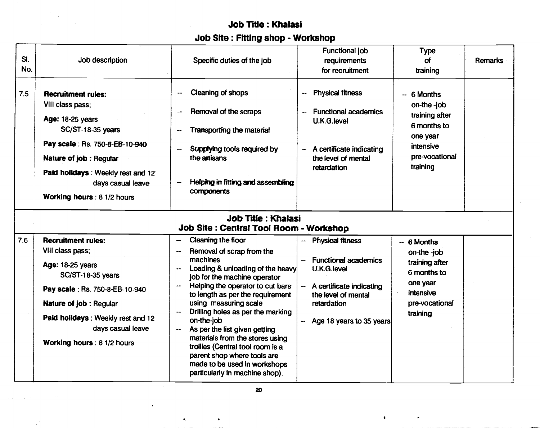# Job Title: Khalasi

# Job Site: Fitting shop - Workshop

| SI.<br>No. | Job description                                                                                                                                                                                                                              | Specific duties of the job                                                                                                                                                                                                                                                                                                                                                                                                                                                                   | Functional job<br>requirements<br>for recruitment                                                                                                                   | <b>Type</b><br>of<br>training                                                                                      | <b>Remarks</b> |
|------------|----------------------------------------------------------------------------------------------------------------------------------------------------------------------------------------------------------------------------------------------|----------------------------------------------------------------------------------------------------------------------------------------------------------------------------------------------------------------------------------------------------------------------------------------------------------------------------------------------------------------------------------------------------------------------------------------------------------------------------------------------|---------------------------------------------------------------------------------------------------------------------------------------------------------------------|--------------------------------------------------------------------------------------------------------------------|----------------|
| 7.5        | <b>Recruitment rules:</b><br>VIII class pass;<br>Age: 18-25 years<br>SC/ST-18-35 years<br>Pay scale: Rs. 750-8-EB-10-940<br>Nature of job: Regular<br>Paid holidays: Weekly rest and 12<br>days casual leave<br>Working hours: 8 1/2 hours   | Cleaning of shops<br>$\ddotsc$<br>Removal of the scraps<br>--<br>Transporting the material<br>--<br>Supplying tools required by<br>the artisans<br>Helping in fitting and assembling<br>components                                                                                                                                                                                                                                                                                           | <b>Physical fitness</b><br>--<br><b>Functional academics</b><br>U.K.G.level<br>A certificate indicating<br>$\rightarrow$<br>the level of mental<br>retardation      | $-6$ Months<br>on-the -job<br>training after<br>6 months to<br>one year<br>intensive<br>pre-vocational<br>training |                |
|            |                                                                                                                                                                                                                                              | <b>Job Title: Khalasi</b><br>Job Site : Central Tool Room - Workshop                                                                                                                                                                                                                                                                                                                                                                                                                         |                                                                                                                                                                     |                                                                                                                    |                |
| 7.6        | <b>Recruitment rules:</b><br>VIII class pass;<br>Age: 18-25 years<br>SC/ST-18-35 years<br>Pay scale: Rs. 750-8-EB-10-940<br>Nature of job : Regular<br>Paid holidays: Weekly rest and 12<br>days casual leave<br>Working hours : 8 1/2 hours | Cleaning the floor<br>Removal of scrap from the<br>machines<br>Loading & unloading of the heavy<br>job for the machine operator<br>Helping the operator to cut bars<br>to length as per the requirement<br>using measuring scale<br>Drilling holes as per the marking<br>on-the-job<br>As per the list given getting<br>materials from the stores using<br>trollies (Central tool room is a<br>parent shop where tools are<br>made to be used in workshops<br>particularly in machine shop). | <b>Physical fitness</b><br><b>Functional academics</b><br>U.K.G.level<br>A certificate indicating<br>the level of mental<br>retardation<br>Age 18 years to 35 years | $-6$ Months<br>on-the-job<br>training after<br>6 months to<br>one year<br>intensive<br>pre-vocational<br>training  |                |

 $\Delta$ 

 $\ddot{\phantom{0}}$ 

 $\pmb{\epsilon}$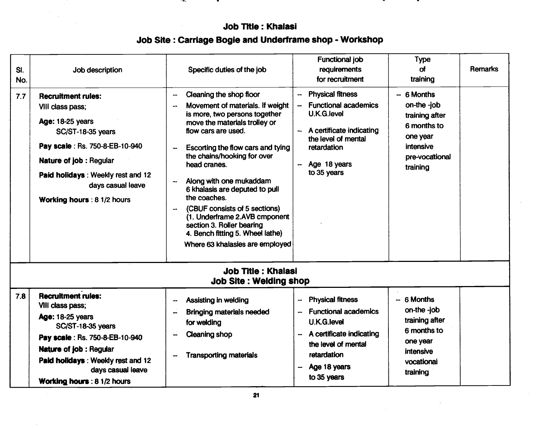# Job Title: Khalasi Job Site: Carriage Bogie and Underframe shop - Workshop

 $\sim$ 

|            |                                                                                                                                                                                                                                                                  |                                                                                                                                                                                                                                                                                                                                                                                                                                                                                                                     | Functional job                                                                                                                                                                                 | <b>Type</b>                                                                                                        |         |  |  |  |  |  |
|------------|------------------------------------------------------------------------------------------------------------------------------------------------------------------------------------------------------------------------------------------------------------------|---------------------------------------------------------------------------------------------------------------------------------------------------------------------------------------------------------------------------------------------------------------------------------------------------------------------------------------------------------------------------------------------------------------------------------------------------------------------------------------------------------------------|------------------------------------------------------------------------------------------------------------------------------------------------------------------------------------------------|--------------------------------------------------------------------------------------------------------------------|---------|--|--|--|--|--|
| SI.<br>No. | Job description                                                                                                                                                                                                                                                  | Specific duties of the job                                                                                                                                                                                                                                                                                                                                                                                                                                                                                          | requirements<br>for recruitment                                                                                                                                                                | of<br>training                                                                                                     | Remarks |  |  |  |  |  |
| 7.7        | <b>Recruitment rules:</b><br>VIII class pass;<br><b>Age: 18-25 years</b><br>SC/ST-18-35 years<br>Pay scale : Rs. 750-8-EB-10-940<br>Nature of job: Regular<br>Paid holidays: Weekly rest and 12<br>days casual leave<br>Working hours: 8 1/2 hours               | Cleaning the shop floor<br>--<br>Movement of materials. If weight<br>--<br>is more, two persons together<br>move the materials trolley or<br>flow cars are used.<br>Escorting the flow cars and tying<br>--<br>the chains/hooking for over<br>head cranes.<br>Along with one mukaddam<br>--<br>6 khalasis are deputed to pull<br>the coaches.<br>(CBUF consists of 5 sections)<br>(1. Underframe 2.AVB cmponent<br>section 3. Roller bearing<br>4. Bench fitting 5. Wheel lathe)<br>Where 63 khalasies are employed | <b>Physical fitness</b><br><b>Functional academics</b><br>U.K.G.level<br>A certificate indicating<br>۰.<br>the level of mental<br>retardation<br>Age 18 years<br>to 35 years                   | $-6$ Months<br>on-the -job<br>training after<br>6 months to<br>one year<br>intensive<br>pre-vocational<br>training |         |  |  |  |  |  |
|            | <b>Job Title: Khalasi</b><br><b>Job Site: Welding shop</b>                                                                                                                                                                                                       |                                                                                                                                                                                                                                                                                                                                                                                                                                                                                                                     |                                                                                                                                                                                                |                                                                                                                    |         |  |  |  |  |  |
| 7.8        | <b>Recruitment rules:</b><br>VIII class pass;<br><b>Age: 18-25 years</b><br><b>SC/ST-18-35 years</b><br>Pay scale : Rs. 750-8-EB-10-940<br><b>Nature of job: Regular</b><br>Paid holidays: Weekly rest and 12<br>days casual leave<br>Working hours: 8 1/2 hours | Assisting in welding<br>--<br><b>Bringing materials needed</b><br>--<br>for welding<br>Cleaning shop<br><b>Transporting materials</b>                                                                                                                                                                                                                                                                                                                                                                               | <b>Physical fitness</b><br>$\rightarrow$<br><b>Functional academics</b><br><b>U.K.G.level</b><br>A certificate indicating<br>the level of mental<br>retardation<br>Age 18 years<br>to 35 years | $-6$ Months<br>on-the -job<br>training after<br>6 months to<br>one year<br>intensive<br>vocational<br>training     |         |  |  |  |  |  |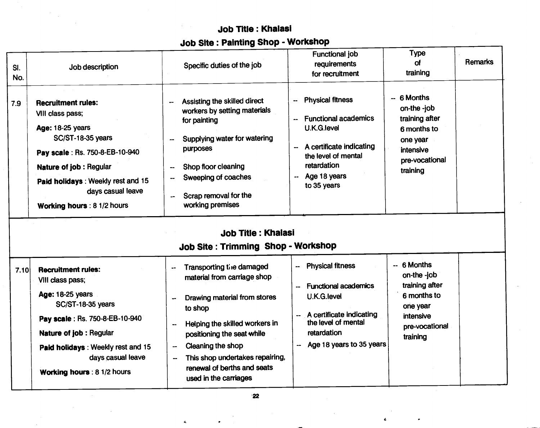# Job Title: Khalasi Job Site: Painting Shop - Workshop

|            |                                                                                                                                                                                                                                              | <b>Allah I I Allian</b>                                                                                                                                                                                                                                                                                                                       |                                                                                                                                                                              |                                                                                                                    |         |
|------------|----------------------------------------------------------------------------------------------------------------------------------------------------------------------------------------------------------------------------------------------|-----------------------------------------------------------------------------------------------------------------------------------------------------------------------------------------------------------------------------------------------------------------------------------------------------------------------------------------------|------------------------------------------------------------------------------------------------------------------------------------------------------------------------------|--------------------------------------------------------------------------------------------------------------------|---------|
| SI.<br>No. | Job description                                                                                                                                                                                                                              | Specific duties of the job                                                                                                                                                                                                                                                                                                                    | <b>Functional job</b><br>requirements<br>for recruitment                                                                                                                     | <b>Type</b><br>of<br>training                                                                                      | Remarks |
| 7.9        | <b>Recruitment rules:</b><br>VIII class pass;<br>Age: 18-25 years<br>SC/ST-18-35 years<br>Pay scale: Rs. 750-8-EB-10-940<br>Nature of job : Regular<br>Paid holidays: Weekly rest and 15<br>days casual leave<br>Working hours : 8 1/2 hours | Assisting the skilled direct<br>--<br>workers by setting materials<br>for painting<br>Supplying water for watering<br>$\overline{\phantom{a}}$<br>purposes<br>Shop floor cleaning<br>Sweeping of coaches<br>Scrap removal for the<br>working premises<br><b>Job Title: Khalasi</b><br>Job Site: Trimming Shop - Workshop                      | <b>Physical fitness</b><br>--<br><b>Functional academics</b><br>U.K.G.level<br>A certificate indicating<br>the level of mental<br>retardation<br>Age 18 years<br>to 35 years | -- 6 Months<br>on-the -job<br>training after<br>6 months to<br>one year<br>intensive<br>pre-vocational<br>training |         |
| 7.10       | <b>Recruitment rules:</b><br>VIII class pass;<br>Age: 18-25 years<br>SC/ST-18-35 years<br>Pay scale: Rs. 750-8-EB-10-940<br>Nature of job : Regular<br>Paid holidays: Weekly rest and 15<br>days casual leave<br>Working hours : 8 1/2 hours | Transporting the damaged<br>$\overline{\phantom{a}}$<br>material from carriage shop<br>Drawing material from stores<br>to shop<br>Helping the skilled workers in<br>positioning the seat while<br>Cleaning the shop<br>$\overline{\phantom{a}}$<br>This shop undertakes repairing,<br>$\overline{\phantom{a}}$<br>renewal of berths and seats | -- Physical fitness<br>-- Functional academics<br>U.K.G.level<br>A certificate indicating<br>the level of mental<br>retardation<br>-- Age 18 years to 35 years               | $-6$ Months<br>on-the -job<br>training after<br>6 months to<br>one year<br>intensive<br>pre-vocational<br>training |         |

 $\ddot{\bullet}$ 

 $\bullet$ 

 $\pmb{\epsilon}$ 

 $\bullet$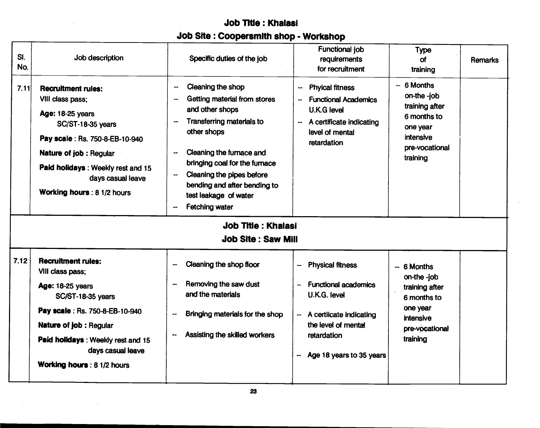# Job Title: Khalasi Job Site: Coopersrnlth shop - Workshop

| SI.<br>No. | Job description                                                                                                                                                                                                                                                 | Specific duties of the job                                                                                                                                                                                                                                                                                                                                                                                                                       | Functional job<br>requirements<br>for recruitment                                                                                                                                      | <b>Type</b><br>of<br>training                                                                                      | Remarks |
|------------|-----------------------------------------------------------------------------------------------------------------------------------------------------------------------------------------------------------------------------------------------------------------|--------------------------------------------------------------------------------------------------------------------------------------------------------------------------------------------------------------------------------------------------------------------------------------------------------------------------------------------------------------------------------------------------------------------------------------------------|----------------------------------------------------------------------------------------------------------------------------------------------------------------------------------------|--------------------------------------------------------------------------------------------------------------------|---------|
| 7.11       | <b>Recruitment rules:</b><br>VIII class pass;<br><b>Age: 18-25 years</b><br><b>SC/ST-18-35 years</b><br>Pay scale: Rs. 750-8-EB-10-940<br>Nature of job: Regular<br>Paid holidays: Weekly rest and 15<br>days casual leave<br><b>Working hours: 8 1/2 hours</b> | Cleaning the shop<br>$\overline{\phantom{a}}$<br>Getting material from stores<br>$\overline{\phantom{a}}$<br>and other shops<br><b>Transferring materials to</b><br>٠.<br>other shops<br>Cleaning the furnace and<br>$\overline{\phantom{a}}$<br>bringing coal for the furnace<br>Cleaning the pipes before<br>bending and after bending to<br>test leakage of water<br>Fetching water<br><b>Job Title: Khalasi</b><br><b>Job Site: Saw Mill</b> | <b>Phyical fitness</b><br>--<br><b>Functional Academics</b><br>--<br>U.K.G level<br>A certificate indicating<br>$\overline{\phantom{a}}$<br>level of mental<br>retardation             | $-6$ Months<br>on-the -job<br>training after<br>6 months to<br>one year<br>intensive<br>pre-vocational<br>training |         |
|            |                                                                                                                                                                                                                                                                 |                                                                                                                                                                                                                                                                                                                                                                                                                                                  |                                                                                                                                                                                        |                                                                                                                    |         |
| 7.12       | <b>Recruitment rules:</b><br>VIII class pass;<br><b>Age: 18-25 years</b><br>SC/ST-18-35 years<br>Pay scale: Rs. 750-8-EB-10-940<br>Nature of job : Regular<br>Paid holidays: Weekly rest and 15<br>days casual leave<br><b>Working hours: 8 1/2 hours</b>       | Cleaning the shop floor<br>--<br>Removing the saw dust<br>--<br>and the materials<br>Bringing materials for the shop<br>Assisting the skilled workers<br>۰.                                                                                                                                                                                                                                                                                      | <b>Physical fitness</b><br>--<br><b>Functional academics</b><br><b>U.K.G. level</b><br>A certiicate indicating<br>the level of mental<br>retardation<br>Age 18 years to 35 years<br>-- | $-6$ Months<br>on-the -job<br>training after<br>6 months to<br>one year<br>intensive<br>pre-vocational<br>training |         |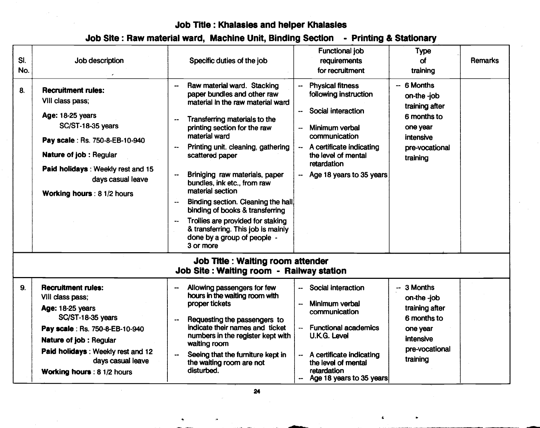# Job Title: Khalasies and helper Khalasies

|  | Job Site: Raw material ward, Machine Unit, Binding Section - Printing & Stationary |  |
|--|------------------------------------------------------------------------------------|--|
|--|------------------------------------------------------------------------------------|--|

| SI.<br>No.<br>8. | Job description<br><b>Recruitment rules:</b><br>VIII class pass;<br>Age: 18-25 years<br>SC/ST-18-35 years<br>Pay scale: Rs. 750-8-EB-10-940<br><b>Nature of job: Regular</b><br>Paid holidays: Weekly rest and 15<br>days casual leave<br>Working hours: 8 1/2 hours | Specific duties of the job<br>Raw material ward. Stacking<br>paper bundles and other raw<br>material In the raw material ward<br>Transferring materials to the<br>--<br>printing section for the raw<br>material ward<br>Printing unit. cleaning, gathering<br>scattered paper<br>Briniging raw materials, paper<br>--<br>bundles, ink etc., from raw<br>material section<br>Binding section. Cleaning the hall<br>binding of books & transferring<br>Trollies are provided for staking<br>& transferring. This job is mainly | Functional job<br>requirements<br>for recruitment<br><b>Physical fitness</b><br>following instruction<br>Social interaction<br>$\overline{\phantom{a}}$<br>Minimum verbal<br>--<br>communication<br>A certificate indicating<br>the level of mental<br>retardation<br>Age 18 years to 35 years | <b>Type</b><br>of<br>training<br>$-6$ Months<br>on-the -job<br>training after<br>6 months to<br>one year<br>intensive<br>pre-vocational<br>training | <b>Remarks</b> |  |
|------------------|----------------------------------------------------------------------------------------------------------------------------------------------------------------------------------------------------------------------------------------------------------------------|-------------------------------------------------------------------------------------------------------------------------------------------------------------------------------------------------------------------------------------------------------------------------------------------------------------------------------------------------------------------------------------------------------------------------------------------------------------------------------------------------------------------------------|------------------------------------------------------------------------------------------------------------------------------------------------------------------------------------------------------------------------------------------------------------------------------------------------|-----------------------------------------------------------------------------------------------------------------------------------------------------|----------------|--|
|                  |                                                                                                                                                                                                                                                                      | done by a group of people -<br>3 or more<br><b>Job Title : Waiting room attender</b>                                                                                                                                                                                                                                                                                                                                                                                                                                          |                                                                                                                                                                                                                                                                                                |                                                                                                                                                     |                |  |
|                  |                                                                                                                                                                                                                                                                      | Job Site: Waiting room - Railway station                                                                                                                                                                                                                                                                                                                                                                                                                                                                                      |                                                                                                                                                                                                                                                                                                |                                                                                                                                                     |                |  |
| 9.               | <b>Recruitment rules:</b><br>VIII class pass;<br>Age: 18-25 years<br>SC/ST-18-35 years<br>Pay scale: Rs. 750-8-EB-10-940<br>Nature of job: Regular<br>Paid holidays: Weekly rest and 12<br>days casual leave<br><b>Working hours: 8 1/2 hours</b>                    | Allowing passengers for few<br>hours in the waiting room with<br>proper tickets<br>Requesting the passengers to<br>indicate their names and ticket<br>numbers in the register kept with<br>waiting room<br>Seeing that the furniture kept in<br>the waiting room are not<br>disturbed.                                                                                                                                                                                                                                        | Social interaction<br>Minimum verbal<br><br>communication<br><b>Functional academics</b><br><b>U.K.G. Level</b><br>A certificate indicating<br>the level of mental<br>retardation<br>Age 18 years to 35 years<br>⊷                                                                             | $-3$ Months<br>on-the -job<br>training after<br>6 months to<br>one year<br>intensive<br>pre-vocational<br>training                                  |                |  |

a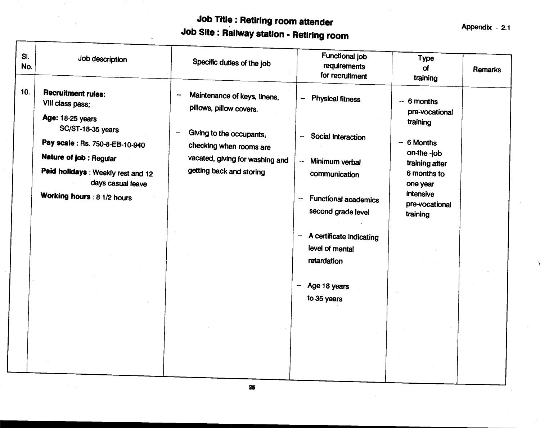# Job Title: Retiring room attender<br>Job Site: Railway station - Retiring room<br>Job Site: Railway station - Retiring room

 $\ddot{\phantom{1}}$ 

- 1

| SI.<br>No. | Job description                                                                                                                                                                                                                              | Specific duties of the job                                                                                                                                                                                      | Functional job<br>requirements<br>for recruitment                                                                                                                                                                                                                                                            | <b>Type</b><br>of<br>training                                                                                                                                   | Remarks |  |
|------------|----------------------------------------------------------------------------------------------------------------------------------------------------------------------------------------------------------------------------------------------|-----------------------------------------------------------------------------------------------------------------------------------------------------------------------------------------------------------------|--------------------------------------------------------------------------------------------------------------------------------------------------------------------------------------------------------------------------------------------------------------------------------------------------------------|-----------------------------------------------------------------------------------------------------------------------------------------------------------------|---------|--|
| 10.        | <b>Recruitment rules:</b><br>VIII class pass;<br>Age: 18-25 years<br>SC/ST-18-35 years<br>Pay scale: Rs. 750-8-EB-10-940<br>Nature of job : Regular<br>Paid holidays: Weekly rest and 12<br>days casual leave<br>Working hours : 8 1/2 hours | Maintenance of keys, linens,<br>--<br>pillows, pillow covers.<br>Giving to the occupants,<br>$\overline{\phantom{a}}$<br>checking when rooms are<br>vacated, giving for washing and<br>getting back and storing | <b>Physical fitness</b><br>--<br>Social interaction<br>--<br>Minimum verbal<br>$\overline{\phantom{a}}$<br>communication<br><b>Functional academics</b><br>-∽<br>second grade level<br>A certificate indicating<br>$\overline{\phantom{a}}$<br>level of mental<br>retardation<br>Age 18 years<br>to 35 years | $-6$ months<br>pre-vocational<br>training<br>$-6$ Months<br>on-the -job<br>training after<br>6 months to<br>one year<br>intensive<br>pre-vocational<br>training |         |  |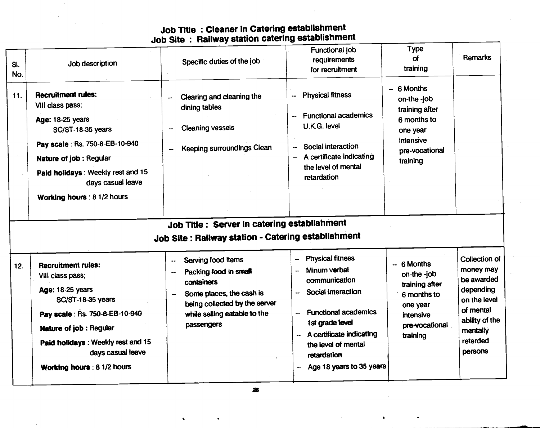### Job Title : Cleaner in Catering establishment Job Site : Railway station catering establishment

| SI.<br>No. | Job description                                                                                                                                                                                                                                     | Specific duties of the job                                                                                                                                                                                           | Functional job<br>requirements<br>for recruitment                                                                                                                                                                              | <b>Type</b><br>σf<br>training                                                                                      | <b>Remarks</b>                                                                                                                                 |
|------------|-----------------------------------------------------------------------------------------------------------------------------------------------------------------------------------------------------------------------------------------------------|----------------------------------------------------------------------------------------------------------------------------------------------------------------------------------------------------------------------|--------------------------------------------------------------------------------------------------------------------------------------------------------------------------------------------------------------------------------|--------------------------------------------------------------------------------------------------------------------|------------------------------------------------------------------------------------------------------------------------------------------------|
| 11.        | <b>Recruitment rules:</b><br>VIII class pass;<br>Age: 18-25 years<br><b>SC/ST-18-35 years</b><br>Pay scale: Rs. 750-8-EB-10-940<br>Nature of job : Regular<br>Paid holidays: Weekly rest and 15<br>days casual leave<br>Working hours : 8 1/2 hours | Clearing and cleaning the<br>dining tables<br><b>Cleaning vessels</b><br>Keeping surroundings Clean                                                                                                                  | <b>Physical fitness</b><br>44<br><b>Functional academics</b><br>$\overline{\phantom{a}}$<br>U.K.G. level<br>Social interaction<br>--<br>A certificate indicating<br>the level of mental<br>retardation                         | -- 6 Months<br>on-the -job<br>training after<br>6 months to<br>one year<br>intensive<br>pre-vocational<br>training |                                                                                                                                                |
|            |                                                                                                                                                                                                                                                     | Job Title : Server in catering establishment<br>Job Site: Railway station - Catering establishment                                                                                                                   |                                                                                                                                                                                                                                |                                                                                                                    |                                                                                                                                                |
| 12.        | <b>Recruitment rules:</b><br>VIII class pass;<br>Age: 18-25 years<br><b>SC/ST-18-35 years</b><br>Pay scale: Rs. 750-8-EB-10-940<br>Nature of job : Regular<br>Paid holidays: Weekly rest and 15<br>days casual leave<br>Working hours: 8 1/2 hours  | Serving food items<br>$\overline{\phantom{a}}$<br>Packing food in small<br>containers<br>Some places, the cash is<br>being collected by the server<br>while selling eatable to the<br>passengers<br>$\frac{1}{2\pi}$ | <b>Physical fitness</b><br>Minum verbal<br>communication<br>Social interaction<br><b>Functional academics</b><br>1st grade level<br>A certificate indicating<br>the level of mental<br>retardation<br>Age 18 years to 35 years | -- 6 Months<br>on-the -job<br>training after<br>6 months to<br>one year<br>intensive<br>pre-vocational<br>training | <b>Collection of</b><br>money may<br>be awarded<br>depending<br>on the level<br>of mental<br>ability of the<br>mentally<br>retarded<br>persons |

26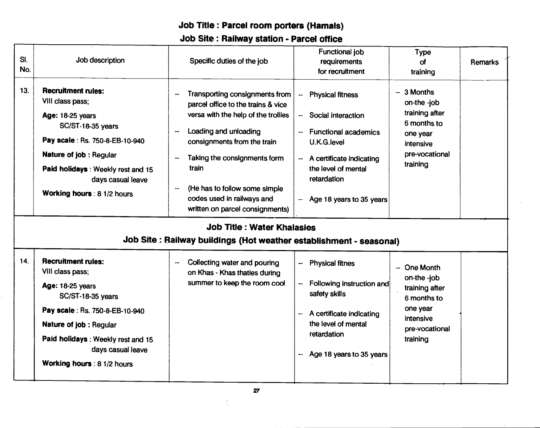# Job Title: Parcel room porters (Hamals) Job Site: Railway station - Parcel office

| 13.<br><b>Recruitment rules:</b><br>$-3$ Months<br>Transporting consignments from<br><b>Physical fitness</b><br>$\ddot{\phantom{a}}$<br>VIII class pass;<br>on-the -job<br>parcel office to the trains & vice<br>training after<br>versa with the help of the trollies<br>Social interaction<br>Age: 18-25 years<br>6 months to<br>SC/ST-18-35 years<br>Loading and unloading<br><b>Functional academics</b><br>$\ddotsc$<br>--<br>one year<br>Pay scale : Rs. 750-8-EB-10-940<br>consignments from the train<br>U.K.G.level<br>intensive<br>pre-vocational<br><b>Nature of job: Regular</b><br>Taking the consignments form<br>A certificate indicating<br>--<br>training<br>train<br>the level of mental<br>Paid holidays: Weekly rest and 15<br>retardation<br>days casual leave<br>(He has to follow some simple<br>μ.<br>Working hours : 8 1/2 hours<br>codes used in railways and<br>Age 18 years to 35 years<br><br>written on parcel consignments)<br><b>Job Title : Water Khalasies</b><br>Job Site: Railway buildings (Hot weather establishment - seasonal)<br>14.<br><b>Recruitment rules:</b><br>Collecting water and pouring<br><b>Physical fitnes</b><br>$\ddot{\phantom{1}}$<br>--<br>-- One Month<br>VIII class pass;<br>on Khas - Khas thaties during<br>on-the -job<br>summer to keep the room cool<br>Following instruction and<br>--<br>Age: 18-25 years<br>training after<br>safety skills<br>SC/ST-18-35 years<br>6 months to<br>one year<br>Pay scale: Rs. 750-8-EB-10-940<br>A certificate indicating<br>$\overline{\phantom{a}}$<br>intensive | SI.<br>No. | Job description        | Specific duties of the job | <b>Functional job</b><br>requirements<br>for recruitment | <b>Type</b><br>$\alpha$<br>training | <b>Remarks</b> |
|-------------------------------------------------------------------------------------------------------------------------------------------------------------------------------------------------------------------------------------------------------------------------------------------------------------------------------------------------------------------------------------------------------------------------------------------------------------------------------------------------------------------------------------------------------------------------------------------------------------------------------------------------------------------------------------------------------------------------------------------------------------------------------------------------------------------------------------------------------------------------------------------------------------------------------------------------------------------------------------------------------------------------------------------------------------------------------------------------------------------------------------------------------------------------------------------------------------------------------------------------------------------------------------------------------------------------------------------------------------------------------------------------------------------------------------------------------------------------------------------------------------------------------------------------------------------------|------------|------------------------|----------------------------|----------------------------------------------------------|-------------------------------------|----------------|
|                                                                                                                                                                                                                                                                                                                                                                                                                                                                                                                                                                                                                                                                                                                                                                                                                                                                                                                                                                                                                                                                                                                                                                                                                                                                                                                                                                                                                                                                                                                                                                         |            |                        |                            |                                                          |                                     |                |
|                                                                                                                                                                                                                                                                                                                                                                                                                                                                                                                                                                                                                                                                                                                                                                                                                                                                                                                                                                                                                                                                                                                                                                                                                                                                                                                                                                                                                                                                                                                                                                         |            |                        |                            |                                                          |                                     |                |
| pre-vocational<br>retardation<br>Paid holidays: Weekly rest and 15<br>training<br>days casual leave<br>Age 18 years to 35 years<br>--<br>Working hours : 8 1/2 hours                                                                                                                                                                                                                                                                                                                                                                                                                                                                                                                                                                                                                                                                                                                                                                                                                                                                                                                                                                                                                                                                                                                                                                                                                                                                                                                                                                                                    |            | Nature of job: Regular |                            | the level of mental                                      |                                     |                |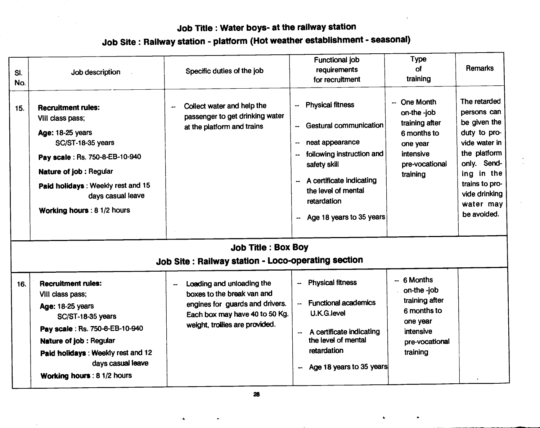# Job Title : Water boys- at the railway station

| -- One Month<br><b>Physical fitness</b><br>Collect water and help the<br>15.<br><b>Recruitment rules:</b><br>$\bullet\bullet$<br>on-the -job<br>passenger to get drinking water<br>VIII class pass;<br>training after<br>-- Gestural communication<br>at the platform and trains<br>Age: 18-25 years<br>6 months to<br><b>SC/ST-18-35 years</b><br>neat appearance<br>one year<br>--<br>following instruction and<br>intensive<br>$\sim$<br>Pay scale: Rs. 750-8-EB-10-940<br>safety skill<br>pre-vocational<br>Nature of job: Regular<br>training | SI.<br>No. | Job description                   | Specific duties of the job | Functional job<br>requirements<br>for recruitment | <b>Type</b><br>оf<br>training | Remarks                                                                                                                                                                                  |
|----------------------------------------------------------------------------------------------------------------------------------------------------------------------------------------------------------------------------------------------------------------------------------------------------------------------------------------------------------------------------------------------------------------------------------------------------------------------------------------------------------------------------------------------------|------------|-----------------------------------|----------------------------|---------------------------------------------------|-------------------------------|------------------------------------------------------------------------------------------------------------------------------------------------------------------------------------------|
| the level of mental<br>days casual leave<br>retardation<br>Working hours : 8 1/2 hours<br>Age 18 years to 35 years                                                                                                                                                                                                                                                                                                                                                                                                                                 |            | Paid holidays: Weekly rest and 15 |                            | A certificate indicating<br>-−                    |                               | The retarded<br>persons can<br>be given the<br>duty to pro-<br>vide water in<br>the platform<br>only. Send-<br>ing in the<br>trains to pro-<br>vide drinking<br>water may<br>be avoided. |

# Job Site: Railway station - platform (Hot weather establishment - seasonal)

|  | <b>Job Title: Box Boy</b> |  |  |  |  |  |
|--|---------------------------|--|--|--|--|--|
|--|---------------------------|--|--|--|--|--|

| Job Site: Railway station - Loco-operating section |  |
|----------------------------------------------------|--|
|----------------------------------------------------|--|

| <b>Recruitment rules:</b><br>16.<br>VIII class pass;<br>Age: 18-25 years<br>SC/ST-18-35 years<br>Pay scale: Rs. 750-8-EB-10-940<br>Nature of job: Regular<br>Paid holidays: Weekly rest and 12<br>days casual leave<br>Working hours: 8 1/2 hours | Loading and unloading the<br>boxes to the break van and<br>engines for guards and drivers.<br>Each box may have 40 to 50 Kg.<br>weight, trollies are provided. | <b>Physical fitness</b><br>÷<br><b>Functional academics</b><br>$-$<br>U.K.G.level<br>A certificate indicating<br>$\overline{\phantom{a}}$<br>the level of mental<br>retardation<br>Age 18 years to 35 years<br>-- | $-6$ Months<br>on-the -job<br>training after<br>6 months to<br>one year<br>intensive<br>pre-vocational<br>training |  |
|---------------------------------------------------------------------------------------------------------------------------------------------------------------------------------------------------------------------------------------------------|----------------------------------------------------------------------------------------------------------------------------------------------------------------|-------------------------------------------------------------------------------------------------------------------------------------------------------------------------------------------------------------------|--------------------------------------------------------------------------------------------------------------------|--|
|---------------------------------------------------------------------------------------------------------------------------------------------------------------------------------------------------------------------------------------------------|----------------------------------------------------------------------------------------------------------------------------------------------------------------|-------------------------------------------------------------------------------------------------------------------------------------------------------------------------------------------------------------------|--------------------------------------------------------------------------------------------------------------------|--|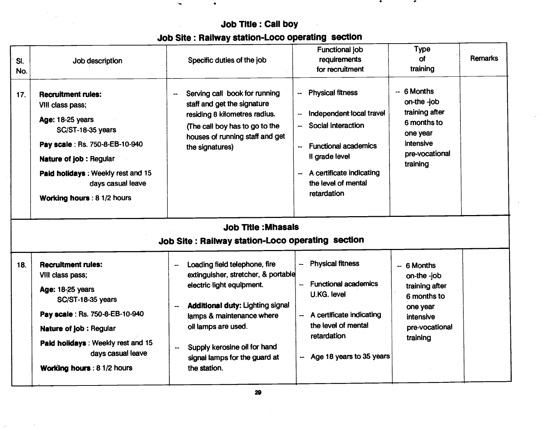# Job Title: Call boy Job Site: Railway station-Loco operating section

 $\epsilon_{\rm m}$ 

 $\bullet$ 

 $\bullet$  . The set of  $\bullet$ 

| SI.<br>No. | Job description                                                                                                                                                                                                                                           | Specific duties of the job                                                                                                                                                                                                                                                                                | <b>Functional job</b><br>requirements<br>for recruitment                                                                                                                                                       | <b>Type</b><br>of<br>training                                                                                      | <b>Remarks</b> |
|------------|-----------------------------------------------------------------------------------------------------------------------------------------------------------------------------------------------------------------------------------------------------------|-----------------------------------------------------------------------------------------------------------------------------------------------------------------------------------------------------------------------------------------------------------------------------------------------------------|----------------------------------------------------------------------------------------------------------------------------------------------------------------------------------------------------------------|--------------------------------------------------------------------------------------------------------------------|----------------|
| 17.        | <b>Recruitment rules:</b><br>VIII class pass;<br><b>Age: 18-25 years</b><br>SC/ST-18-35 years<br>Pay scale: Rs. 750-8-EB-10-940<br><b>Nature of job: Regular</b><br>Paid holidays: Weekly rest and 15<br>days casual leave<br>Working hours : 8 1/2 hours | Serving call book for running<br>--<br>staff and get the signature<br>residing 8 kilometres radius.<br>(The call boy has to go to the<br>houses of running staff and get<br>the signatures)                                                                                                               | <b>Physical fitness</b><br>--<br>Independent local travel<br>--<br>Social interaction<br><b>Functional academics</b><br>--<br>Il grade level<br>A certificate indicating<br>the level of mental<br>retardation | $-6$ Months<br>on-the -job<br>training after<br>6 months to<br>one year<br>intensive<br>pre-vocational<br>training |                |
|            |                                                                                                                                                                                                                                                           | <b>Job Title: Mhasals</b><br>Job Site : Railway station-Loco operating section                                                                                                                                                                                                                            |                                                                                                                                                                                                                |                                                                                                                    |                |
| 18.        | <b>Recruitment rules:</b><br>VIII class pass;<br>Age: 18-25 years<br><b>SC/ST-18-35 years</b><br>Pay scale: Rs. 750-8-EB-10-940<br><b>Nature of job: Regular</b><br>Paid holidays: Weekly rest and 15<br>days casual leave<br>Working hours : 8 1/2 hours | Loading field telephone, fire<br>extinguisher, stretcher, & portable<br>electric light equipment.<br><b>Additional duty: Lighting signal</b><br>$\overline{a}$<br>lamps & maintenance where<br>oil lamps are used.<br>Supply kerosine oil for hand<br>--<br>signal lamps for the guard at<br>the station. | -- Physical fitness<br><b>Functional academics</b><br><b>U.KG. level</b><br>-- A certificate indicating<br>the level of mental<br>retardation<br>-- Age 18 years to 35 years                                   | $-6$ Months<br>on-the -job<br>training after<br>6 months to<br>one year<br>intensive<br>pre-vocational<br>training |                |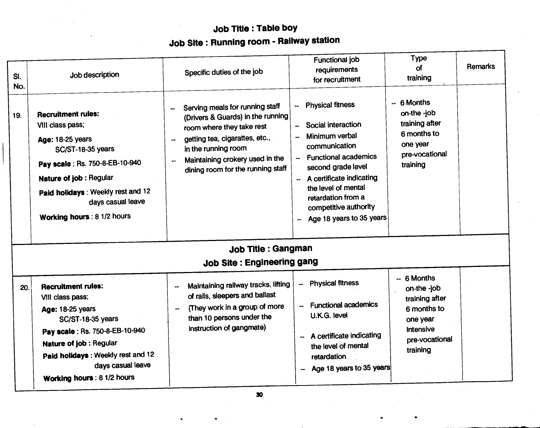# Job Title : Table boy Job Site: Running room - Railway station

| SI.<br>No. | Job description                                                                                                                                                                                                                                     | Specific duties of the job                                                                                                                                                                                                               | <b>Functional job</b><br>requirements<br>for recruitment                                                                                                                                                                                                                                                        | <b>Type</b><br>of<br>training                                                                                      | <b>Remarks</b> |
|------------|-----------------------------------------------------------------------------------------------------------------------------------------------------------------------------------------------------------------------------------------------------|------------------------------------------------------------------------------------------------------------------------------------------------------------------------------------------------------------------------------------------|-----------------------------------------------------------------------------------------------------------------------------------------------------------------------------------------------------------------------------------------------------------------------------------------------------------------|--------------------------------------------------------------------------------------------------------------------|----------------|
| 19.        | <b>Recruitment rules:</b><br>VIII class pass;<br>Age: 18-25 years<br>SC/ST-18-35 years<br>Pay scale : Rs. 750-8-EB-10-940<br>Nature of job: Regular<br>Paid holidays: Weekly rest and 12<br>days casual leave<br>Working hours : 8 1/2 hours        | Serving meals for running staff<br>--<br>(Drivers & Guards) in the running<br>room where they take rest<br>getting tea, cigarattes, etc.,<br>in the running room<br>Maintaining crokery used in the<br>dining room for the running staff | <b>Physical fitness</b><br>--<br>Social interaction<br>$\overline{\phantom{a}}$<br>Minimum verbal<br>communication<br><b>Functional academics</b><br>second grade level<br>A certificate indicating<br>the level of mental<br>retardation from a<br>competitive authority<br>Age 18 years to 35 years<br>$\sim$ | 6 Months<br>on-the -job<br>training after<br>6 months to<br>one year<br>pre-vocational<br>training                 |                |
|            |                                                                                                                                                                                                                                                     | <b>Job Title: Gangman</b>                                                                                                                                                                                                                |                                                                                                                                                                                                                                                                                                                 |                                                                                                                    |                |
|            |                                                                                                                                                                                                                                                     | Job Site: Engineering gang                                                                                                                                                                                                               |                                                                                                                                                                                                                                                                                                                 |                                                                                                                    |                |
| 20.        | <b>Recruitment rules:</b><br>VIII class pass;<br>Age: 18-25 years<br><b>SC/ST-18-35 years</b><br>Pay scale: Rs. 750-8-EB-10-940<br>Nature of job : Regular<br>Paid holidays: Weekly rest and 12<br>days casual leave<br>Working hours : 8 1/2 hours | Maintaining railway tracks, lifting<br>of rails, sleepers and ballast<br>(They work in a group of more<br>$\overline{\phantom{a}}$<br>than 10 persons under the<br>instruction of gangmate)                                              | <b>Physical fitness</b><br>--<br><b>Functional academics</b><br>--<br>U.K.G. level<br>A certificate indicating<br>--<br>the level of mental<br>retardation<br>Age 18 years to 35 years                                                                                                                          | $-6$ Months<br>on-the -job<br>training after<br>6 months to<br>one year<br>intensive<br>pre-vocational<br>training |                |

44, 1990, 1990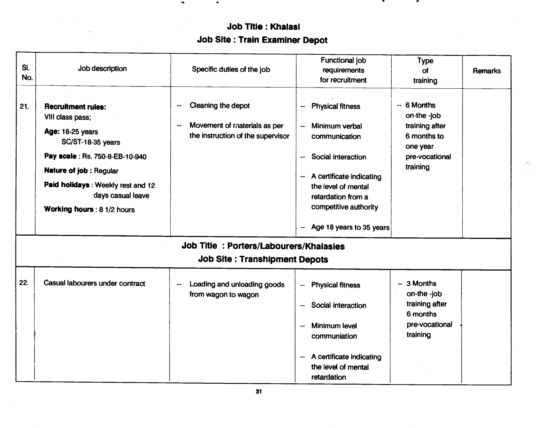# Job Title: Khalasi Job Site : Train Examiner Depot

C

 $\frac{1}{2} \sum_{i=1}^{2}$ 

| SI.<br>No. | Job description                                                                                                                                                                                                | Specific duties of the job                                                                                       | Functional job<br>requirements                                                                                                                                                                                                      | Type<br>of                                                                                                        | Remarks |
|------------|----------------------------------------------------------------------------------------------------------------------------------------------------------------------------------------------------------------|------------------------------------------------------------------------------------------------------------------|-------------------------------------------------------------------------------------------------------------------------------------------------------------------------------------------------------------------------------------|-------------------------------------------------------------------------------------------------------------------|---------|
| 21.        | <b>Recruitment rules:</b><br>VIII class pass;<br>Age: 18-25 years<br>SC/ST-18-35 years<br>Pay scale : Rs. 750-8-EB-10-940<br>Nature of job : Regular<br>Paid holidays: Weekly rest and 12<br>days casual leave | Cleaning the depot<br>-<br>Movement of materials as per<br>$\bullet\bullet$<br>the instruction of the supervisor | for recruitment<br><b>Physical fitness</b><br>--<br>Minimum verbal<br>$\mathbf{u}$<br>communication<br>Social interaction<br>÷<br>A certificate indicating<br>$\overline{\phantom{a}}$<br>the level of mental<br>retardation from a | training<br>$-6$ Months<br>on-the -job<br>training after<br>6 months to<br>one year<br>pre-vocational<br>training |         |
|            | Working hours : 8 1/2 hours                                                                                                                                                                                    |                                                                                                                  | competitive authority<br>Age 18 years to 35 years<br>--                                                                                                                                                                             |                                                                                                                   |         |
|            |                                                                                                                                                                                                                | Job Title: Porters/Labourers/Khalasies<br><b>Job Site: Transhipment Depots</b>                                   |                                                                                                                                                                                                                                     |                                                                                                                   |         |
| 22.        | Casual labourers under contract                                                                                                                                                                                | Loading and unloading goods<br>--<br>from wagon to wagon                                                         | <b>Physical fitness</b><br>۰.<br>Social interaction<br>-−<br>Minimum level<br>--<br>communiation<br>A certificate indicating<br>$\overline{\phantom{a}}$<br>the level of mental<br>retardation                                      | -- 3 Months<br>on-the -job<br>training after<br>6 months<br>pre-vocational<br>training                            |         |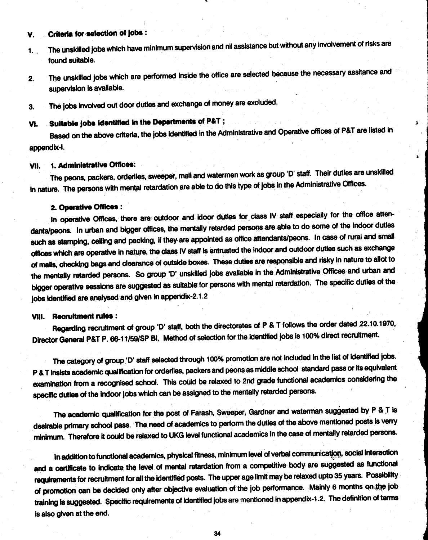### V. Criteria for selection of jobs:

- 1. The unskilled jobs which have minimum supervision and nil assistance but without any involvement of risks are found suitable.
- 2. The unskilled jobs which are performed inside the office are selected because the necessary assitance and supervision is available.
- 3. The jobs involved out door duties and exchange of money are excluded.

# VI. Suitable jobs identified in the Departments of P&T;

Based on the above criteria, the jobs identified in the Administrative and Operative offices of P&T are listed in appendix-I.

Ă.

### VII. 1. Administrative Offices:

The peons, packers, orderlies, sweeper, mall and watermen work as group 'D' staff. Their duties are unskilled in nature. The persons with mental retardation are able to do this type of jobs in the Administrative Offices.

### 2. Operative Offices:

In operative Offices, there are outdoor and idoor duties for class IV staff especially for the office attendants/peons. In urban and bigger offices, the mentally retarded persons are able to do some of the indoor duties such as stamping, ceiling and packing, if they are appointed as office attendants/peons. In case of rural and small offices which are operative in nature, the class IV staff is entrusted the indoor and outdoor duties such as exchange of mails, checking bags and clearance of outside boxes. These duties are responsible and risky in nature to allot to the mentally retarded persons. So group 'D' unskilled jobs available in the Administrative Offices and urban and bigger operative sessions are suggested as suitable for personswith mental retardation. The specific duties of the jobs identified are analysed and given in appendix-2.1.2

### VIII. Recruitment rules:

Regarding recruitment of group 'D' staff, both the directorates of P & T follows the order dated 22.10.1970, Director General P&T P. 66-11/59/SP BI. Method of selection for the identified jobs is 100% direct recruitment.

The category of group 'D' staff selected through 100% promotion are not included in the list of identified jobs. P & T insists academic qualification for orderlies, packers and peons as middle school standard pass or its equivalent examination from a recognised school. This could be relaxed to 2nd grade functional academics considering the specific duties of the Indoor jobs which can be assigned to the mentally retarded persons.

The academic qualification for the post of Farash, Sweeper, Gardner and waterman suggested by P & T is desirable primary school pass. The need of academics to perform the duties of the above mentioned posts is verry minimum. Therefore it could be relaxed to UKG level functional academics in the case of mentally retarded persons.

In addition to functional academics, physical fitness, minimum level of verbal communication, social interaction and a certificate to indicate the level of mental retardation from a competitive body are suggested as functional requirements for recruitment for all the identified posts. The upper age limit may be relaxed upto 35 years. Possibility of promotion can be decided only after objective evaluation of the job performance. Mainly 6 months on the job training is suggested. Specific requirements of identified jobs are mentioned in appendix-1.2. The definition of terms is also given at the end.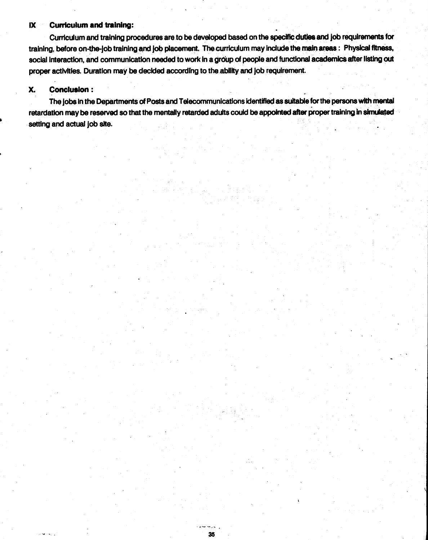### IX Cufficulum and training:

Curriculum and training procedures are to be developed based on the specific duties and job requirements for training, before on-the-Job training and Job placement. Thecurriculum may Include the main areas: Physical fitness. social interaction, and communication needed to work in a group of people and functional academics after listing out proper activities. Duration may be decided according to the ability and Job requirement.

### X. Conclusion:

The jobs in the Departments of Posts and Telecommunications identified as suitable for the persons with mental retardation may be reserved so that the mentally retarded adults could be appointed after proper training In simulated setting and actual job site.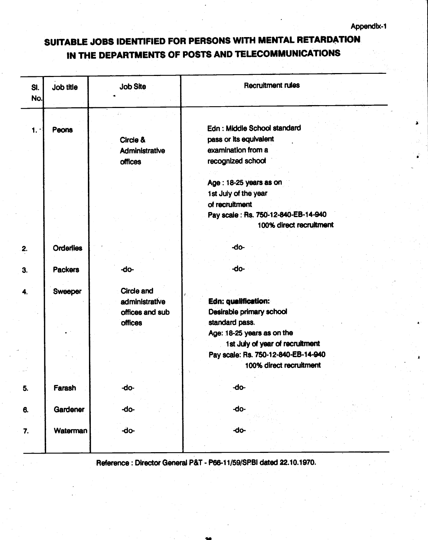# <span id="page-32-0"></span>SUITABLE JOBS IDENTIFIED FOR PERSONS WITh MENTAL RETARDATION IN THE DEPARTMENTS OF POSTS AND TELECOMMUNICATIONS

| SI.<br>No. | Job title        | <b>Job Site</b> | <b>Recruitment rules</b>            |
|------------|------------------|-----------------|-------------------------------------|
|            |                  |                 |                                     |
| 1.         | Peons            |                 | Edn: Middle School standard         |
|            |                  | Circle &        | pass or its equivalent              |
|            |                  | Administrative  | examination from a                  |
|            |                  | <b>offices</b>  | recognized school                   |
|            |                  |                 |                                     |
|            |                  |                 | Age: 18-25 years as on              |
|            |                  |                 | 1st July of the year                |
|            |                  |                 | of recruitment                      |
|            |                  |                 | Pay scale: Rs. 750-12-840-EB-14-940 |
|            |                  |                 | 100% direct recruitment             |
|            |                  |                 |                                     |
| 2.         | <b>Orderlies</b> |                 | -do-                                |
|            |                  |                 |                                     |
| 3.         | <b>Packers</b>   | -do-            | -do-                                |
|            |                  |                 |                                     |
| 4.         | Sweeper          | Circle and      |                                     |
|            |                  | administrative  | Edn: qualification:                 |
|            |                  | offices and sub | Desirable primary school            |
|            |                  | <b>offices</b>  | standard pass.                      |
|            |                  |                 | Age: 18-25 years as on the          |
|            |                  |                 | 1st July of year of recruitment     |
|            |                  |                 | Pay scale: Rs. 750-12-840-EB-14-940 |
|            |                  |                 | 100% direct recruitment             |
|            |                  |                 |                                     |
| 5.         | Farash           | -do-            | -do-                                |
|            |                  |                 |                                     |
| 6.         | Gardener         | -do-            | -do-                                |
|            |                  |                 |                                     |
| 7.         | Waterman         | -do-            | $-do-$                              |
|            |                  |                 |                                     |

Reference: Director General P&T - P66-i 1/59/SPBI dated 22.10.1970.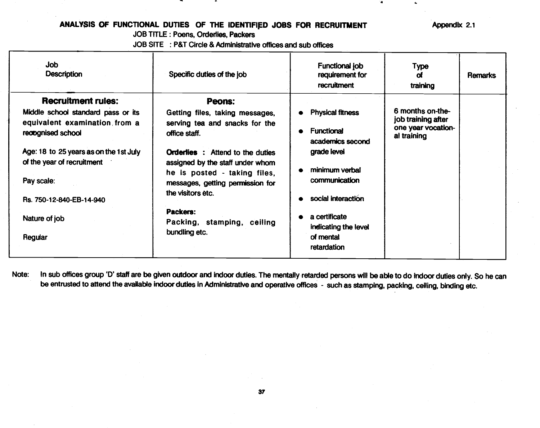### ANALYSIS OF FUNCTIONAL DUTIES OF THE IDENTIFIED JOBS FOR RECRUITMENT Appendix 2.1

JOB TITLE: Poens, Orderlies, Packers

JOB SITE : P&T Circle & Administrative offices and sub offices

<span id="page-33-0"></span>

| Job<br><b>Description</b>                                                                                                                                                                                                                                           | Specific duties of the job                                                                                                                                                                                                                                                                                                             | Functional job<br>requirement for<br><b>recruitment</b>                                                                                                                                                       | Туре<br>αf<br>training                                                      | Remarks |
|---------------------------------------------------------------------------------------------------------------------------------------------------------------------------------------------------------------------------------------------------------------------|----------------------------------------------------------------------------------------------------------------------------------------------------------------------------------------------------------------------------------------------------------------------------------------------------------------------------------------|---------------------------------------------------------------------------------------------------------------------------------------------------------------------------------------------------------------|-----------------------------------------------------------------------------|---------|
| <b>Recruitment rules:</b><br>Middle school standard pass or its<br>equivalent examination from a<br>reoognised school<br>Age: 18 to 25 years as on the 1st July<br>of the year of recruitment<br>Pay scale:<br>Rs. 750-12-840-EB-14-940<br>Nature of job<br>Regular | <b>Peons:</b><br>Getting files, taking messages,<br>serving tea and snacks for the<br>office staff.<br><b>Orderlies</b> : Attend to the duties<br>assigned by the staff under whom<br>he is posted - taking files,<br>messages, getting permission for<br>the visitors etc.<br>Packers:<br>Packing, stamping, ceiling<br>bundling etc. | <b>Physical fitness</b><br><b>Functional</b><br>academics second<br>grade level<br>minimum verbal<br>communication<br>social interaction<br>a certificate<br>indicating the level<br>of mental<br>retardation | 6 months on-the-<br>job training after<br>one year vocation-<br>al training |         |

Note: In sub offices group 'D' staff are be given outdoor and indoor duties. The mentally retarded persons will be able to do indoor duties only. So he can be entrusted to attend the available indoor duties in Administrative and operative offices - such as stamping, packing, ceiling, binding etc.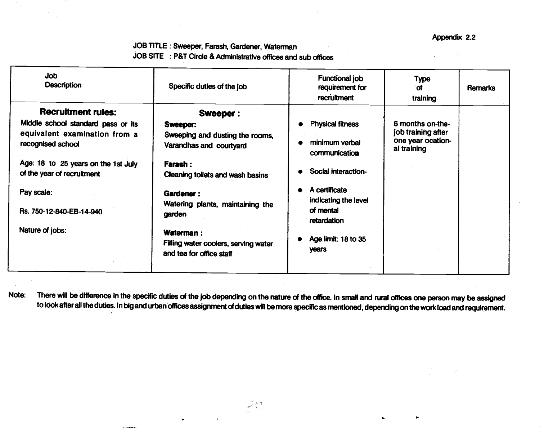### JOB TITLE : Sweeper, Farash, Gardener, Waterman JOB SITE : P&T Circle & Administrative offices and sub offices

| <b>Job</b><br><b>Description</b>                                                                                                                              | Specific duties of the job                                                                                                   | <b>Functional job</b><br>requirement for<br>recruitment                           | Type<br>οf<br>training                                                     | <b>Remarks</b> |
|---------------------------------------------------------------------------------------------------------------------------------------------------------------|------------------------------------------------------------------------------------------------------------------------------|-----------------------------------------------------------------------------------|----------------------------------------------------------------------------|----------------|
| <b>Recruitment rules:</b>                                                                                                                                     | <b>Sweeper:</b>                                                                                                              |                                                                                   |                                                                            |                |
| Middle school standard pass or its<br>equivalent examination from a<br>recognised school<br>Age: 18 to 25 years on the 1st July<br>of the year of recruitment | Sweeper:<br>Sweeping and dusting the rooms,<br>Varandhas and courtyard<br><b>Farash:</b><br>Cleaning toilets and wash basins | <b>Physical fitness</b><br>minimum verbal<br>communication<br>Social interaction- | 6 months on-the-<br>job training after<br>one year ocation-<br>al training |                |
| Pay scale:<br>Rs. 750-12-840-EB-14-940                                                                                                                        | Gardener:<br>Watering plants, maintaining the<br>garden                                                                      | A certificate<br>indicating the level<br>of mental<br>retardation                 |                                                                            |                |
| Nature of jobs:                                                                                                                                               | Waterman:<br>Filling water coolers, serving water<br>and tea for office staff                                                | Age limit: 18 to 35<br>years                                                      |                                                                            |                |

Note: There will be difference in the specific duties of the job depending on the nature of the office. In small and rural offices one person may be assigned to look after all the duties. In big and urban offices assignment of duties will be more specific as mentioned, depending on the work load andrequirement.

 $\frac{1}{2} \frac{1}{2} \frac{d^2}{dt^2}$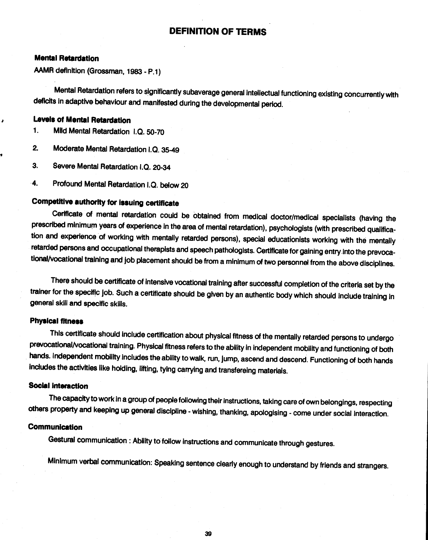### DEFINITION OF TERMS

### <span id="page-35-0"></span>Mental Retardation

MMR definition (Grossman, 1983 - P.1)

Mental Retardation refers to significantly subaverage general intellectual functioning existing concurrently with deficits in adaptive behaviour and manifested during the developmental period.

### Levels of Mental Retardation

1. Mild Mental Retardation I.Q. 50-70

- 2. Moderate Mental Retardation 1.0. 35-49
- 3. Severe Mental Retardation 1.0. 20-34
- 4. Profound Mental Retardation 1.0. below 20

### Competitive authority for issuing certificate

Cerificate of mental retardation could be obtained from medical doctor/medical specialists (having the prescribed minimum years of experience in the area of mental retardation), psychologists (with prescribed qualification and experience of working with mentally retarded persons), special educationists working with the mentally retarded persons and occupational therapists and speech pathologists. Certificate forgaining entry.into the prevocational/vocational training and job placement should be from a minimum of two personnel from the above disciplines.

There should be certificate of intensive vocational training after successful completion of the criteria set by the trainer for the specific job. Such a certificate should be given by an authentic body which should include training In general skill and specific skills.

### Physical fitness

This certificate should include certification about physical fitness of the mentally retarded persons to undergo prevocational/vocational training. Physical fitness refers to the ability in independent mobility and functioning of both hands. Independent mobility includes the ability to walk, run, jump, ascend and descend. Functioning of both hands includes the activities like holding, lifting, tying carrying and transfereing materials.

### Social interaction

The capacity to work in a group of people following their instructions, taking care of own belongings, respecting others property and keeping up general discipline - wishing, thanking, apologising - come under social interaction.

### Communication

Gestural communication : Ability to follow instructions and communicate through gestures.

Minimum verbal communication: Speaking sentence clearlyenough to understand by friends and strangers.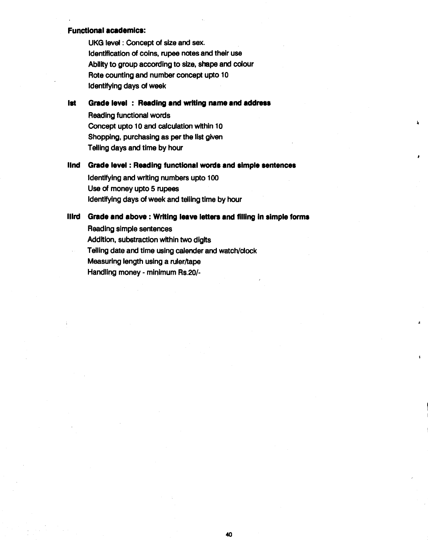### Functional academics:

UKG level : Concept of size and sex. Identification of coins, rupee notes and their use Ability to group according to size, shape and colour Rote counting and number concept upto 10 Identifying days of week

ist Grade level : Reading and writing name and address

Reading functional words Concept upto 10 and calculation within 10 Shopping, purchasing as per the list given Telling days and time by hour

ilnd Grade level : Reading functionai words and simple sentences

 $\mathbf{r}$ 

Identifying and writing numbers upto 100 Use of money upto 5 rupees identifying days of week and teiilng time by hour

### lilrd Grade and above : Writing ieave ietters and filling in simple forms

Reading simple sentences Addition, subetraction within two digits Telling date and time using calender and watch/clock Measuring length using a ruler/tape Handling money - minimum Rs.20/-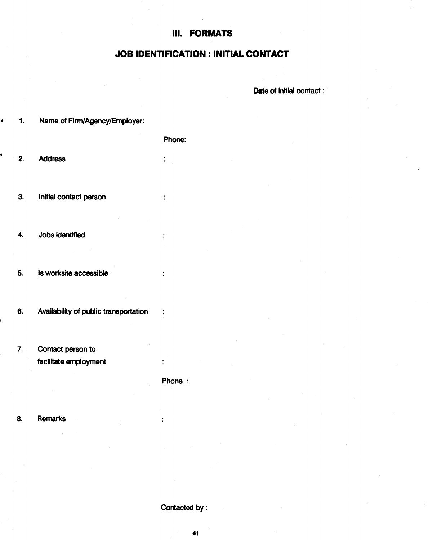### III. FORMATS

### JOB IDENTIFICATION : INITIAL CONTACT

Date of initial contact:

<span id="page-37-0"></span>• 1. Name of Firm/Agency/Employer:

Phone:

 $\ddot{\phantom{a}}$ 

 $\ddot{\cdot}$ 

 $\ddot{\cdot}$ 

 $\ddot{\cdot}$ 

2. Address

¢

3. Initial contact person

4. Jobs Identified

- 5. Is worksite accessible
- 6. Availability of public transportation :
- 7. Contact person to facilitate employment

Phone:

 $\ddot{\cdot}$ 

8. Remarks

Contacted by: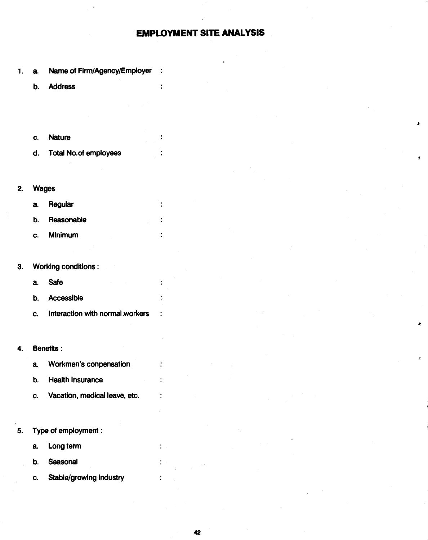### EMPLOYMENT SITE ANALYSIS

 $\ddot{\cdot}$ 

 $\ddot{\cdot}$ 

 $\ddot{\cdot}$  $\cdot$ 

ł

 $\ddot{\cdot}$ 

 $\ddot{\cdot}$ 

 $\ddot{\cdot}$ 

 $\ddot{\phantom{a}}$ 

3

 $\pmb{\cdot}$ 

í

- <span id="page-38-0"></span>a. Name of Firm/Agency/Employer :  $1.$ 
	- b. Address
	- c. Nature
	- d. Total No.of employees
- 2. Wages
	- a. Regular
	- b. Reasonable
	- c. Minimum
- 3. Working conditions:
	- a. Safe
	- b. Accessible
	- c. Interaction with normal workers
- 4. Benefits:
	- a. Workmen's conpensation b. Health Insurance c. Vacation, medical leave, etc.
- 5. Type of employment:
	- a. Long term
	- b. Seasonal
	- c. Stable/growing industry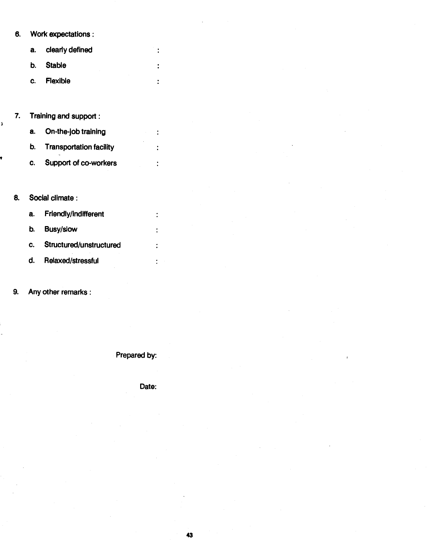### 6. Work expectations:

| a. clearly defined |
|--------------------|
| b. Stable          |
| c. Flexible        |

 $\ddot{\cdot}$ 

 $\ddot{\cdot}$ 

 $\ddot{\phantom{a}}$ 

 $\ddot{\phantom{a}}$ 

 $\ddot{\cdot}$ 

 $\ddot{\cdot}$ 

 $\ddot{\cdot}$ 

 $\ddot{\cdot}$ 

 $\ddot{\cdot}$ 

7. Training and support:

î

- a. On-the-job training
- b. Transportation facility
- c. Support of co-workers

### 8. Social climate:

- a. Friendly/indifferent
- b. Busy/slow
- c. Structured/unstructured
- d. Relaxed/stressful

9. Any other remarks:

Prepared by:

Date: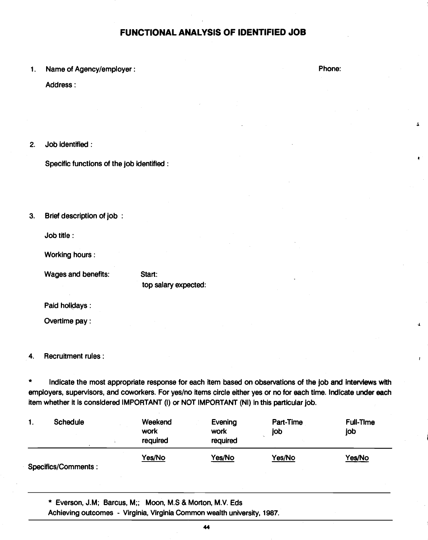### FUNCTIONAL ANALYSIS OF IDENTIFIED JOB

### <span id="page-40-0"></span>1. Name of Agency/employer:

Address:

### 2. Job identified:

Specific functions of the job identified:

3. Brief description of job

Job title:

Working hours:

Wages and benefits:

Start: top salary expected:

Paid holidays:

Overtime pay:

4. Recruitment rules:

\* Indicate the most appropriate response for each item based on observations of the Job and interviews with employers, supervisors, and coworkers. For yes/no items circle either yes or no for each time. Indicate under each item whether it is considered IMPORTANT (I) or NOT IMPORTANT (NI) in this particular Job.

| Schedule<br>ι.      | Weekend<br>work<br>required | Evening<br>work<br>required | Part-Time<br>job | <b>Full-Time</b><br>job |  |
|---------------------|-----------------------------|-----------------------------|------------------|-------------------------|--|
| Specifics/Comments: | Yes/No                      | Yes/No                      | Yes/No           | <u>Yes/No</u>           |  |

\* Everson, J.M; Barcus, M;; Moon, M.S & Morton, M.V. Eds

Achieving outcomes - Virginia, Virginia Common wealth university, 1987.

Phone:

 $\mathbf{r}$ 

 $\Delta$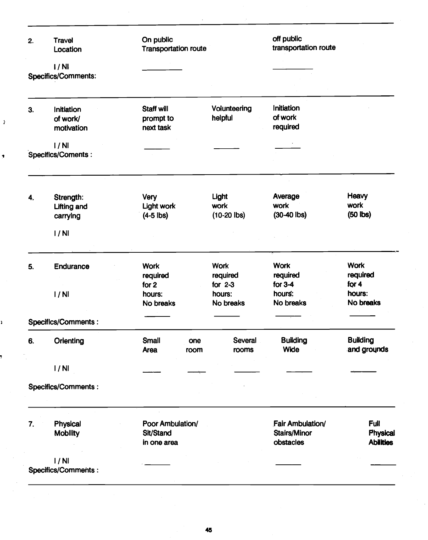| 2. | <b>Travel</b><br>Location | On public<br><b>Transportation route</b> |             |                         | off public<br>transportation route |                                |
|----|---------------------------|------------------------------------------|-------------|-------------------------|------------------------------------|--------------------------------|
|    | 1/NI                      |                                          |             |                         |                                    |                                |
|    | Specifics/Comments:       |                                          |             |                         |                                    |                                |
| 3. | Initiation                | <b>Staff will</b>                        |             | Volunteering            | Initiation                         |                                |
|    | of work/                  | prompt to                                |             | helpful                 | of work                            |                                |
|    | motivation                | next task                                |             |                         | required                           |                                |
|    | 1/NI                      |                                          |             |                         |                                    |                                |
|    | Specifics/Coments :       |                                          |             |                         |                                    |                                |
|    | Strength:                 | Very                                     |             | Light                   | Average                            | Heavy                          |
| 4. | <b>Lifting and</b>        | <b>Light work</b>                        |             | work                    | work                               | work                           |
|    | carrying                  | $(4-5$ lbs)                              |             | $(10-20$ lbs)           | $(30-40$ lbs)                      | $(50$ lbs)                     |
|    | 1/NI                      |                                          |             |                         |                                    |                                |
| 5. | Endurance                 | <b>Work</b><br>required                  |             | <b>Work</b><br>required | <b>Work</b><br>required            | <b>Work</b><br>required        |
|    |                           | for 2                                    |             | for $2-3$               | for $3-4$                          | for $4$                        |
|    | 1/Nl                      | hours:                                   |             | hours:                  | hours:                             | hours:                         |
|    |                           | No breaks                                |             | No breaks               | No breaks                          | No breaks                      |
|    | Specifics/Comments :      |                                          |             |                         |                                    |                                |
| 6. | Orienting                 | Small<br>Area                            | one<br>room | Several<br>rooms        | <b>Building</b><br>Wide            | <b>Building</b><br>and grounds |
|    | 1/NI                      |                                          |             |                         |                                    |                                |
|    | Specifics/Comments :      |                                          |             |                         |                                    |                                |
| 7. | <b>Physical</b>           | Poor Ambulation/                         |             |                         | Fair Ambulation/                   | Full                           |
|    | <b>Mobility</b>           | Sit/Stand                                |             |                         | <b>Stairs/Minor</b>                | Physical                       |
|    |                           | in one area                              |             |                         | obstacles                          | <b>Abilities</b>               |
|    | 1/NI                      |                                          |             |                         |                                    |                                |
|    | Specifics/Comments :      |                                          |             |                         |                                    |                                |

 $\bar{Y}$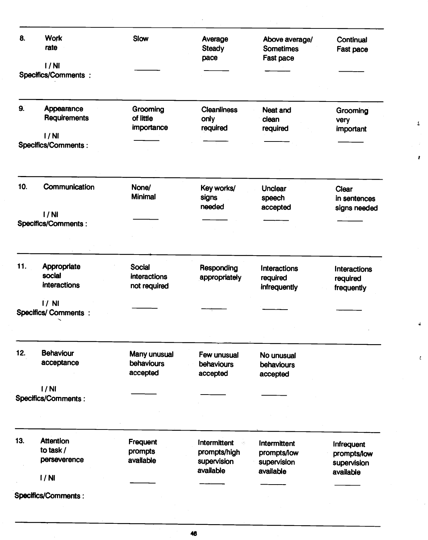| 8.  | <b>Work</b><br>rate<br>1/NI           | Slow                         | Average<br><b>Steady</b><br>pace | Above average/<br><b>Sometimes</b><br>Fast pace | Continual<br>Fast pace       |
|-----|---------------------------------------|------------------------------|----------------------------------|-------------------------------------------------|------------------------------|
|     | <b>Specifics/Comments:</b>            |                              |                                  |                                                 |                              |
| 9.  | Appearance<br>Requirements            | Grooming<br>of little        | <b>Cleanliness</b><br>only       | Neat and<br>clean                               | Grooming<br>very             |
|     | 1/NI                                  | importance                   | required                         | required                                        | important                    |
|     | <b>Specifics/Comments:</b>            |                              |                                  |                                                 |                              |
| 10. | Communication                         | None/<br>Minimal             | Key works/<br>signs              | <b>Unclear</b>                                  | Clear                        |
|     |                                       |                              | needed                           | speech<br>accepted                              | in sentences<br>signs needed |
|     | 1/NI                                  |                              |                                  |                                                 |                              |
|     | <b>Specifics/Comments:</b>            |                              |                                  |                                                 |                              |
| 11. | Appropriate                           | <b>Social</b>                | Responding                       | Interactions                                    | Interactions                 |
|     | social<br>interactions                | interactions<br>not required | appropriately                    | required<br>infrequently                        | required<br>frequently       |
|     | $1/$ NI<br><b>Specifics/Comments:</b> |                              |                                  |                                                 |                              |
|     |                                       |                              |                                  |                                                 |                              |
| 12. | <b>Behaviour</b><br>acceptance        | Many unusual<br>behaviours   | Few unusual<br>behaviours        | No unusual<br>behaviours                        |                              |
|     |                                       | accepted                     | accepted                         | accepted                                        |                              |
|     | 1/NI                                  |                              |                                  |                                                 |                              |
|     | Specifics/Comments :                  |                              |                                  |                                                 |                              |
|     |                                       |                              |                                  |                                                 |                              |
|     |                                       |                              |                                  |                                                 |                              |
| 13. | <b>Attention</b>                      | Frequent                     | Intermittent<br>4                | Intermittent                                    | Infrequent                   |
|     | to task /                             | prompts                      | prompts/high                     | prompts/low                                     | prompts/low                  |
|     | perseverence                          | available                    | supervision<br>available         | supervision                                     | supervision                  |
|     | 1/NI                                  |                              |                                  | available                                       | available                    |
|     |                                       |                              |                                  |                                                 |                              |

 $\pmb{\mathfrak{L}}$ 

Á.

 $\bar{t}$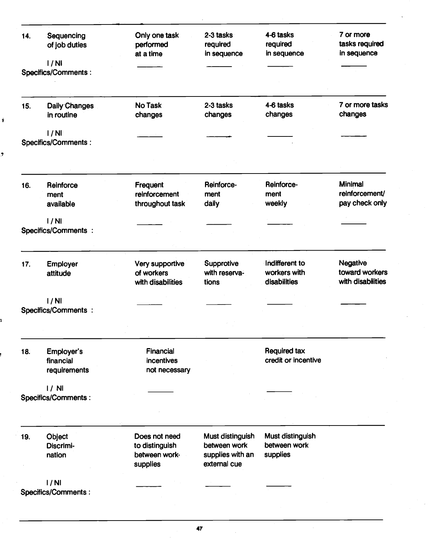| 14. | Sequencing                 | Only one task     | 2-3 tasks        | 4-6 tasks           | 7 or more         |
|-----|----------------------------|-------------------|------------------|---------------------|-------------------|
|     | of job duties              | performed         | required         | required            | tasks required    |
|     |                            | at a time         | in sequence      | in sequence         | in sequence       |
|     | 1/Nl                       |                   |                  |                     |                   |
|     | Specifics/Comments :       |                   |                  |                     |                   |
|     |                            |                   |                  |                     |                   |
| 15. | Daily Changes              | <b>No Task</b>    | 2-3 tasks        | 4-6 tasks           | 7 or more tasks   |
|     | in routine                 | changes           | changes          | changes             | changes           |
|     |                            |                   |                  |                     |                   |
|     | 1/NI                       |                   |                  |                     |                   |
|     | Specifics/Comments :       |                   |                  |                     |                   |
|     |                            |                   |                  |                     |                   |
|     |                            |                   |                  |                     |                   |
| 16. | Reinforce                  | <b>Frequent</b>   | Reinforce-       | Reinforce-          | Minimal           |
|     | ment                       | reinforcement     | ment             | ment                | reinforcement/    |
|     | available                  | throughout task   | daily            | weekly              | pay check only    |
|     |                            |                   |                  |                     |                   |
|     | 1/NI                       |                   |                  |                     |                   |
|     | <b>Specifics/Comments:</b> |                   |                  |                     |                   |
|     |                            |                   |                  |                     |                   |
|     |                            |                   |                  |                     |                   |
| 17. | Employer                   | Very supportive   | Supprotive       | Indifferent to      | Negative          |
|     | attitude                   | of workers        | with reserva-    | workers with        | toward workers    |
|     |                            | with disabilities | tions            | disabilities        | with disabilities |
|     | 1/NI                       |                   |                  |                     |                   |
|     | <b>Specifics/Comments:</b> |                   |                  |                     |                   |
|     |                            |                   |                  |                     |                   |
|     |                            |                   |                  |                     |                   |
| 18. | Employer's                 | Financial         |                  | <b>Required tax</b> |                   |
|     | financial                  | incentives        |                  | credit or incentive |                   |
|     | requirements               | not necessary     |                  |                     |                   |
|     |                            |                   |                  |                     |                   |
|     | 1/ N                       |                   |                  |                     |                   |
|     | Specifics/Comments :       |                   |                  |                     |                   |
|     |                            |                   |                  |                     |                   |
|     |                            |                   |                  |                     |                   |
| 19. | Object                     | Does not need     | Must distinguish | Must distinguish    |                   |
|     | Discrimi-                  | to distinguish    | between work     | between work        |                   |
|     | nation                     | between work.     | supplies with an | supplies            |                   |
|     |                            | supplies          | external cue     |                     |                   |
|     | 1/NI                       |                   |                  |                     |                   |
|     | Specifics/Comments:        |                   |                  |                     |                   |
|     |                            |                   |                  |                     |                   |
|     |                            |                   |                  |                     |                   |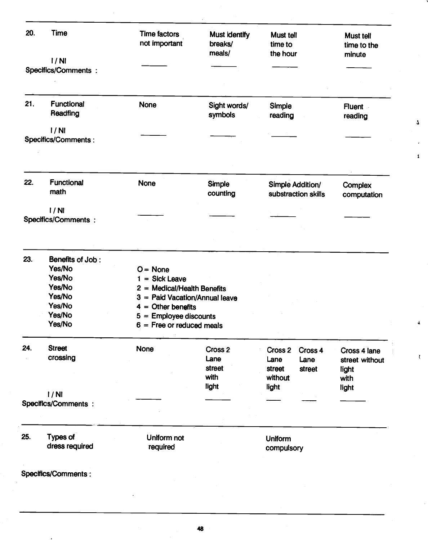| 20. | <b>Time</b>                        | <b>Time factors</b><br>not important | Must identify<br>breaks/<br>meals/ | Must tell<br>time to<br>the hour               | <b>Must tell</b><br>time to the<br>minute |  |  |
|-----|------------------------------------|--------------------------------------|------------------------------------|------------------------------------------------|-------------------------------------------|--|--|
|     | 1/Nl<br>Specifics/Comments :       |                                      |                                    |                                                |                                           |  |  |
|     |                                    |                                      |                                    |                                                |                                           |  |  |
| 21. | <b>Functional</b>                  | <b>None</b>                          | Sight words/                       | Simple                                         |                                           |  |  |
|     | Readfing                           |                                      | symbols                            | reading                                        | <b>Fluent</b><br>reading                  |  |  |
|     | 1/NI<br><b>Specifics/Comments:</b> |                                      |                                    |                                                |                                           |  |  |
| 22. | <b>Functional</b><br>math          | <b>None</b>                          | Simple<br>counting                 | <b>Simple Addition/</b><br>substraction skills | Complex<br>computation                    |  |  |
|     | 1/NI                               |                                      |                                    |                                                |                                           |  |  |
|     | <b>Specifics/Comments:</b>         |                                      |                                    |                                                |                                           |  |  |
|     |                                    |                                      |                                    |                                                |                                           |  |  |
| 23. | Benefits of Job:                   |                                      |                                    |                                                |                                           |  |  |
|     | Yes/No                             | $O = \text{None}$                    |                                    |                                                |                                           |  |  |
|     | Yes/No                             | $1 = Sick$ Leave                     |                                    |                                                |                                           |  |  |
|     | Yes/No                             | $2 =$ Medical/Health Benefits        |                                    |                                                |                                           |  |  |
|     | Yes/No                             | 3 = Paid Vacation/Annual leave       |                                    |                                                |                                           |  |  |
|     | Yes/No                             | $4 =$ Other benefits                 |                                    |                                                |                                           |  |  |
|     | Yes/No                             | $5 =$ Employee discounts             |                                    |                                                |                                           |  |  |
|     | Yes/No                             | $6 =$ Free or reduced meals          |                                    |                                                |                                           |  |  |
| 24. | <b>Street</b>                      | <b>None</b>                          | Cross <sub>2</sub>                 | Cross 2<br>Cross 4                             | Cross 4 lane                              |  |  |
|     | crossing                           |                                      | Lane                               | Lane<br>Lane                                   | street without                            |  |  |
|     |                                    |                                      | street                             | street<br>street                               | light                                     |  |  |
|     |                                    |                                      | with                               | without                                        | with                                      |  |  |
|     |                                    |                                      | light                              | light                                          | light                                     |  |  |
|     | 1/NI<br>Specifics/Comments :       |                                      |                                    |                                                |                                           |  |  |
|     |                                    |                                      |                                    |                                                |                                           |  |  |
|     |                                    |                                      |                                    |                                                |                                           |  |  |
| 25. | Types of                           | Uniform not                          |                                    | <b>Uniform</b>                                 |                                           |  |  |
|     | dress required                     | required                             |                                    | compulsory                                     |                                           |  |  |
|     |                                    |                                      |                                    |                                                |                                           |  |  |
|     |                                    |                                      |                                    |                                                |                                           |  |  |
|     | Specifics/Comments :               |                                      |                                    |                                                |                                           |  |  |

 $\pmb{\mathsf{L}}$ 

 $\pmb{1}$ 

 $\blacktriangleleft$ 

 $\mathfrak{c}$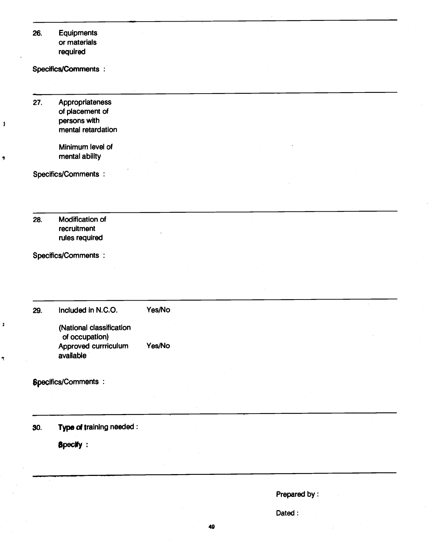| 26. | Equipments<br>or materials<br>required                                                                |                  |  |                        |  |
|-----|-------------------------------------------------------------------------------------------------------|------------------|--|------------------------|--|
|     | Specifics/Comments :                                                                                  |                  |  |                        |  |
| 27. | Appropriateness<br>of placement of<br>persons with<br>mental retardation<br>Minimum level of          |                  |  |                        |  |
|     | mental ability<br>Specifics/Comments :                                                                |                  |  |                        |  |
| 28. | Modification of<br>recruitment<br>rules required                                                      |                  |  |                        |  |
|     | Specifics/Comments :                                                                                  |                  |  |                        |  |
| 29. | Included in N.C.O.<br>(National classification<br>of occupation)<br>Approved currriculum<br>available | Yes/No<br>Yes/No |  |                        |  |
|     | <b>Specifics/Comments:</b>                                                                            |                  |  |                        |  |
| 30. | Type of training needed :<br><b>Specify:</b>                                                          |                  |  |                        |  |
|     |                                                                                                       |                  |  | Prepared by:<br>Dated: |  |

 $\boldsymbol{\beta}$ 

 $\overline{z}$ 

 $\mathbf{z}$ 

 $\overline{\mathbf{r}}$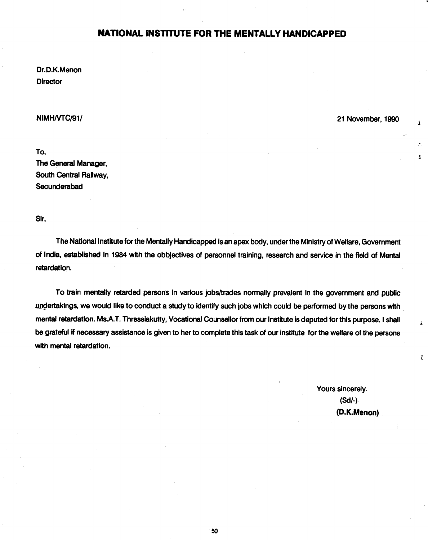### NATIONAL INSTITUTE FOR THE MENTALLY HANDICAPPED

<span id="page-46-0"></span>Dr.D.K.Menon **Director** 

NIMH/VTC/91/ 21 November, 1990

 $\mathbf{I}$ 

 $\overline{\mathbf{A}}$ 

 $\pmb{l}$ 

To, The General Manager, South Central Railway, Secunderabad

Sir,

The National Institute for the Mentally Handicapped is an apex body, under the Ministry of Welfare, Government of India, established In 1984 with the obbjectives of personnel training, research and service in the field of Mental retardation.

To train mentally retarded persons in various jobs/trades normally prevalent in the government and public undertakings, we would like to conduct a study to identify such jobs which could be performed by the persons with mental retardation. Ms.A.T. Thresslakutty, Vocational Counsellor from our Institute is deputed for this purpose. I shall be grateful if necessary assistance is given to her to complete this task of our institute for the welfare of the persons with mental retardation.

> Yours sincerely. (Sd/-) (D.K.Menon)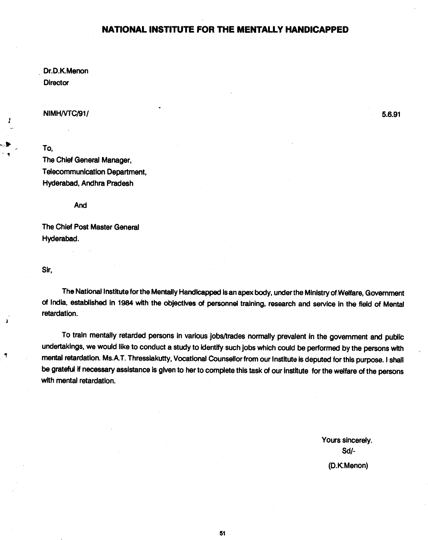### NATIONAL INSTITUTE FOR THE MENTALLY HANDICAPPED

Dr.D.K.Menon **Director** 

NIMH/VTC/91/ 5.6.91

To,

The Chief General Manager, Telecommunication Department, Hyderabad, Andhra Pradesh

And

The Chief Post Master General Hyderabad.

Sir,

٩

The National Institute for the Mentally Handicapped is an apex body, under the Ministry of Welfare, Government of India, established in 1984 with the objectives of personnel training, research and service in the field of Mental retardation.

To train mentally retarded persons in various jobs/trades normally prevalent in the government and public undertakings, we would like to conduct a study to identify such jobs which could be performed by the persons with mental retardation. Ms.A.T. Thressiakutty, Vocational Counsellor from our Institute is deputed for this purpose. I shall be grateful if necessary assistance is given to her to complete this task of our institute for the welfare of the persons with mental retardation.

> Yours sincerely. Sd/- (D.K.Menon)